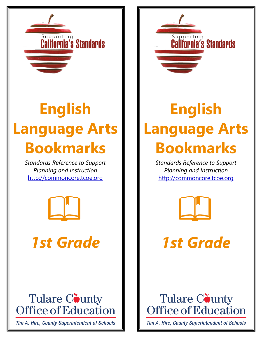

# **English Language Arts Bookmarks**

*Standards Reference to Support Planning and Instruction*  http://commoncore.tcoe.org



*1st Grade*

Tulare County **Office of Education** 

**Tim A. Hire, County Superintendent of Schools** 

**Supporting**<br>**California's Standards** 

# **English Language Arts Bookmarks**

*Standards Reference to Support Planning and Instruction*  http://commoncore.tcoe.org



*1st Grade*

Tulare County **Office of Education** 

Tim A. Hire, County Superintendent of Schools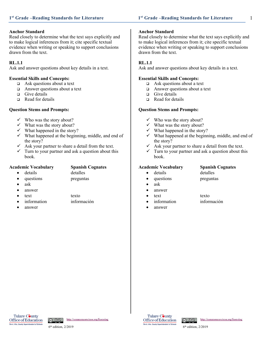Read closely to determine what the text says explicitly and to make logical inferences from it; cite specific textual evidence when writing or speaking to support conclusions drawn from the text.

#### **RL.1.1**

Ask and answer questions about key details in a text.

#### **Essential Skills and Concepts:**

- $\Box$  Ask questions about a text
- $\Box$  Answer questions about a text
- $\Box$  Give details
- Read for details

#### **Question Stems and Prompts:**

- $\checkmark$  Who was the story about?
- $\checkmark$  What was the story about?
- $\checkmark$  What happened in the story?
- $\checkmark$  What happened at the beginning, middle, and end of the story?
- $\checkmark$  Ask your partner to share a detail from the text.
- $\checkmark$  Turn to your partner and ask a question about this book.

#### **Academic Vocabulary Spanish Cognates**

| details   | detalles  |
|-----------|-----------|
| questions | preguntas |

- ask
- answer
- text texto
- information información
- answer

### **Anchor Standard**

Read closely to determine what the text says explicitly and to make logical inferences from it; cite specific textual evidence when writing or speaking to support conclusions drawn from the text.

#### **RL.1.1**

Ask and answer questions about key details in a text.

#### **Essential Skills and Concepts:**

- $\Box$  Ask questions about a text
- $\Box$  Answer questions about a text
- $\Box$  Give details
- $\Box$  Read for details

#### **Question Stems and Prompts:**

- $\checkmark$  Who was the story about?
- $\checkmark$  What was the story about?
- $\checkmark$  What happened in the story?
- $\checkmark$  What happened at the beginning, middle, and end of the story?
- $\checkmark$  Ask your partner to share a detail from the text.
- $\checkmark$  Turn to your partner and ask a question about this book.

### **Academic Vocabulary Spanish Cognates**

| ai y | эрашын Соди |
|------|-------------|
|      | detalles    |
|      |             |

- questions preguntas
- ask
- answer

 $\bullet$  details

- text texto
	- information información
- answer

Tulare County Office of Education Tim A. Hire, County Superintendent of Schools



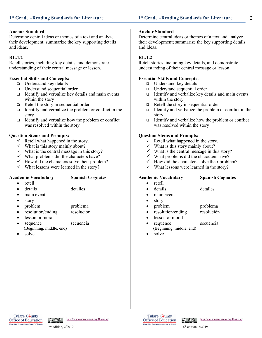Determine central ideas or themes of a text and analyze their development; summarize the key supporting details and ideas.

### **RL.1.2**

Retell stories, including key details, and demonstrate understanding of their central message or lesson.

#### **Essential Skills and Concepts:**

- $\Box$  Understand key details
- □ Understand sequential order
- $\Box$  Identify and verbalize key details and main events within the story
- $\Box$  Retell the story in sequential order
- $\Box$  Identify and verbalize the problem or conflict in the story
- $\Box$  Identify and verbalize how the problem or conflict was resolved within the story

#### **Question Stems and Prompts:**

- $\checkmark$  Retell what happened in the story.
- $\checkmark$  What is this story mainly about?
- $\checkmark$  What is the central message in this story?
- $\checkmark$  What problems did the characters have?
- $\checkmark$  How did the characters solve their problem?
- $\checkmark$  What lessons were learned in the story?

### **Academic Vocabulary Spanish Cognates**

- retell
	- details detailes
- main event
- story
- problem problema
- resolution/ending resolución
- lesson or moral
- sequence secuencia (Beginning, middle, end)
- solve

#### **Anchor Standard**

Determine central ideas or themes of a text and analyze their development; summarize the key supporting details and ideas.

# **RL.1.2**

Retell stories, including key details, and demonstrate understanding of their central message or lesson.

#### **Essential Skills and Concepts:**

- $\Box$  Understand key details
- □ Understand sequential order
- $\Box$  Identify and verbalize key details and main events within the story
- $\Box$  Retell the story in sequential order
- $\Box$  Identify and verbalize the problem or conflict in the story
- $\Box$  Identify and verbalize how the problem or conflict was resolved within the story

#### **Question Stems and Prompts:**

- $\checkmark$  Retell what happened in the story.
- $\checkmark$  What is this story mainly about?
- $\checkmark$  What is the central message in this story?
- $\checkmark$  What problems did the characters have?
- $\checkmark$  How did the characters solve their problem?
- $\checkmark$  What lessons were learned in the story?

- retell
- details detailes
- main event
- story
	- problem problema
		- resolution/ending resolución
- lesson or moral
- sequence secuencia (Beginning, middle, end)
- solve





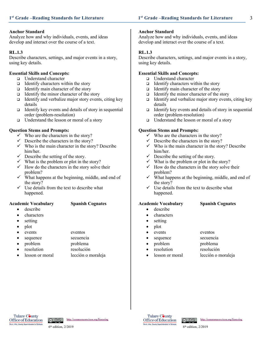3

#### **Anchor Standard**

Analyze how and why individuals, events, and ideas develop and interact over the course of a text.

#### **RL.1.3**

Describe characters, settings, and major events in a story, using key details.

#### **Essential Skills and Concepts:**

- □ Understand character
- $\Box$  Identify characters within the story
- $\Box$  Identify main character of the story
- $\Box$  Identify the minor character of the story
- $\Box$  Identify and verbalize major story events, citing key details
- $\Box$  Identify key events and details of story in sequential order (problem-resolution)
- $\Box$  Understand the lesson or moral of a story

#### **Question Stems and Prompts:**

- $\checkmark$  Who are the characters in the story?
- $\checkmark$  Describe the characters in the story?
- $\checkmark$  Who is the main character in the story? Describe him/her.
- $\checkmark$  Describe the setting of the story.
- $\checkmark$  What is the problem or plot in the story?
- $\checkmark$  How do the characters in the story solve their problem?
- $\checkmark$  What happens at the beginning, middle, and end of the story?
- $\checkmark$  Use details from the text to describe what happened.

#### **Academic Vocabulary Spanish Cognates**

- describe
- characters
- setting
- plot
- events eventos
- sequence secuencia
- problem problema
- resolution resolución
- lesson or moral lección o moraleja

# **Anchor Standard**

Analyze how and why individuals, events, and ideas develop and interact over the course of a text.

#### **RL.1.3**

Describe characters, settings, and major events in a story, using key details.

#### **Essential Skills and Concepts:**

- □ Understand character
- $\Box$  Identify characters within the story
- $\Box$  Identify main character of the story
- $\Box$  Identify the minor character of the story
- $\Box$  Identify and verbalize major story events, citing key details
- $\Box$  Identify key events and details of story in sequential order (problem-resolution)
- $\Box$  Understand the lesson or moral of a story

#### **Question Stems and Prompts:**

- $\checkmark$  Who are the characters in the story?
- $\checkmark$  Describe the characters in the story?
- $\checkmark$  Who is the main character in the story? Describe him/her.
- $\checkmark$  Describe the setting of the story.
- $\checkmark$  What is the problem or plot in the story?
- $\checkmark$  How do the characters in the story solve their problem?
- $\checkmark$  What happens at the beginning, middle, and end of the story?
- $\checkmark$  Use details from the text to describe what happened.

#### **Academic Vocabulary Spanish Cognates**

- describe
- characters
- setting
- plot
	- events eventos
- sequence secuencia
	- problem problema
- resolution resolución
- 
- lesson or moral lección o moraleja

Tulare County Office of Education Tim A. Hire, County Superintendent of Schools





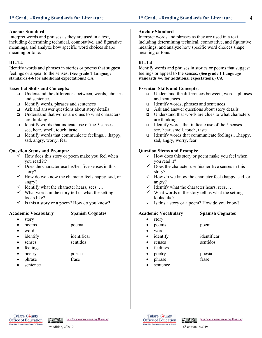Interpret words and phrases as they are used in a text, including determining technical, connotative, and figurative meanings, and analyze how specific word choices shape meaning or tone.

# **RL.1.4**

Identify words and phrases in stories or poems that suggest feelings or appeal to the senses. **(See grade 1 Language standards 4-6 for additional expectations.) CA**

### **Essential Skills and Concepts:**

- $\Box$  Understand the differences between, words, phrases and sentences
- $\Box$  Identify words, phrases and sentences
- $\Box$  Ask and answer questions about story details
- $\Box$  Understand that words are clues to what characters are thinking
- $\Box$  Identify words that indicate use of the 5 senses ... see, hear, smell, touch, taste
- $\Box$  Identify words that communicate feelings....happy, sad, angry, worry, fear

### **Question Stems and Prompts:**

- $\checkmark$  How does this story or poem make you feel when you read it?
- $\checkmark$  Does the character use his/her five senses in this story?
- $\checkmark$  How do we know the character feels happy, sad, or angry?
- $\checkmark$  Identify what the character hears, sees, ...
- $\checkmark$  What words in the story tell us what the setting looks like?
- $\checkmark$  Is this a story or a poem? How do you know?

#### **Academic Vocabulary Spanish Cognates**

- poems poema
- word

• story

- identify identificar
- senses sentidos
- feelings
- poetry poesía
- phrase frase
- sentence

# **Anchor Standard**

Interpret words and phrases as they are used in a text, including determining technical, connotative, and figurative meanings, and analyze how specific word choices shape meaning or tone.

# **RL.1.4**

Identify words and phrases in stories or poems that suggest feelings or appeal to the senses. **(See grade 1 Language standards 4-6 for additional expectations.) CA**

### **Essential Skills and Concepts:**

- $\Box$  Understand the differences between, words, phrases and sentences
- $\Box$  Identify words, phrases and sentences
- $\Box$  Ask and answer questions about story details
- $\Box$  Understand that words are clues to what characters are thinking
- $\Box$  Identify words that indicate use of the 5 senses ... see, hear, smell, touch, taste
- $\Box$  Identify words that communicate feelings....happy, sad, angry, worry, fear

### **Question Stems and Prompts:**

- $\checkmark$  How does this story or poem make you feel when you read it?
- $\checkmark$  Does the character use his/her five senses in this story?
- $\checkmark$  How do we know the character feels happy, sad, or angry?
- $\checkmark$  Identify what the character hears, sees, ...
- $\checkmark$  What words in the story tell us what the setting looks like?
- $\checkmark$  Is this a story or a poem? How do you know?

- story • poems poema • word • identify identificar • senses sentidos
	- feelings
- poetry poesía
- phrase frase
- sentence





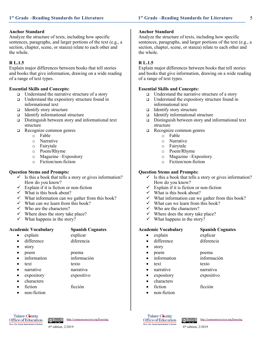Analyze the structure of texts, including how specific sentences, paragraphs, and larger portions of the text (e.g., a section, chapter, scene, or stanza) relate to each other and the whole.

# **R L.1.5**

Explain major differences between books that tell stories and books that give information, drawing on a wide reading of a range of text types.

# **Essential Skills and Concepts:**

- $\Box$  Understand the narrative structure of a story
- $\Box$  Understand the expository structure found in informational text
- $\Box$  Identify story structure
- $\Box$  Identify informational structure
- $\Box$  Distinguish between story and informational text structure
- $\Box$  Recognize common genres
	- o Fable
	- o Narrative
	- o Fairytale
	- o Poem/Rhyme
	- o Magazine –Expository
	- o Fiction/non-fiction

### **Question Stems and Prompts:**

- $\checkmark$  Is this a book that tells a story or gives information? How do you know?
- $\checkmark$  Explain if it is fiction or non-fiction
- $\checkmark$  What is this book about?
- $\checkmark$  What information can we gather from this book?
- $\checkmark$  What can we learn from this book?
- $\checkmark$  Who are the characters?
- $\checkmark$  Where does the story take place?
- $\checkmark$  What happens in the story?

### **Academic Vocabulary Spanish Cognates**

|          | $\sim$ pamon $\sim$ o $\sim$ |
|----------|------------------------------|
| explicar |                              |

- $\bullet$  explain difference diferencia
- story
- poem poema
- information información
- text texto
- narrative narrativa
- expository expositivo
- characters
- fiction ficción
- non-fiction

# **Anchor Standard**

Analyze the structure of texts, including how specific sentences, paragraphs, and larger portions of the text (e.g., a section, chapter, scene, or stanza) relate to each other and the whole.

# **R L.1.5**

Explain major differences between books that tell stories and books that give information, drawing on a wide reading of a range of text types.

# **Essential Skills and Concepts:**

- $\Box$  Understand the narrative structure of a story
- $\Box$  Understand the expository structure found in informational text
- **q** Identify story structure
- $\Box$  Identify informational structure
- $\Box$  Distinguish between story and informational text structure
- $\Box$  Recognize common genres
	- o Fable
	- o Narrative
	- o Fairytale
	- o Poem/Rhyme
	- o Magazine –Expository
	- o Fiction/non-fiction

### **Question Stems and Prompts:**

- $\checkmark$  Is this a book that tells a story or gives information? How do you know?
- $\checkmark$  Explain if it is fiction or non-fiction
- $\checkmark$  What is this book about?
- $\checkmark$  What information can we gather from this book?
- $\checkmark$  What can we learn from this book?
- $\checkmark$  Who are the characters?
- $\checkmark$  Where does the story take place?
- $\checkmark$  What happens in the story?

#### **Academic Vocabulary Spanish Cognates**

• explain explicar • difference diferencia • story • poem poema • information información  $\bullet$  text texto • narrative narrativa • expository expositivo • characters fiction ficción non-fiction

Tulare County Office of Education



Tulare County Office of Education  $\frac{m}{100}$  a. Hire, County Superintendent of Schools  $\frac{1}{6}$  edition, 2/2019

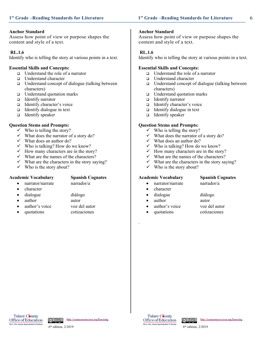6

#### **Anchor Standard**

Assess how point of view or purpose shapes the content and style of a text.

### **RL.1.6**

Identify who is telling the story at various points in a text.

#### **Essential Skills and Concepts:**

- □ Understand the role of a narrator
- □ Understand character
- q Understand concept of dialogue (talking between characters)
- □ Understand quotation marks
- q Identify narrator
- $\Box$  Identify character's voice
- $\Box$  Identify dialogue in text
- $\Box$  Identify speaker

#### **Question Stems and Prompts:**

- $\checkmark$  Who is telling the story?
- $\checkmark$  What does the narrator of a story do?
- $\checkmark$  What does an author do?
- $\checkmark$  Who is talking? How do we know?
- $\checkmark$  How many characters are in the story?
- $\checkmark$  What are the names of the characters?
- $\checkmark$  What are the characters in the story saying?
- $\checkmark$  Who is the story about?

#### **Academic Vocabulary**

|  | <b>Spanish Cognates</b> |
|--|-------------------------|
|--|-------------------------|

- narrator/narrate narrador/a
	-
- character
	- dialogue diálogo
- author autor
- 
- author's voice voz del autor
- quotations cotizaciones

#### **Anchor Standard**

Assess how point of view or purpose shapes the content and style of a text.

# **RL.1.6**

Identify who is telling the story at various points in a text.

#### **Essential Skills and Concepts:**

- □ Understand the role of a narrator
- □ Understand character
- q Understand concept of dialogue (talking between characters)
- □ Understand quotation marks
- q Identify narrator
- □ Identify character's voice
- $\Box$  Identify dialogue in text
- $\Box$  Identify speaker

#### **Question Stems and Prompts:**

- $\checkmark$  Who is telling the story?
- $\checkmark$  What does the narrator of a story do?
- $\checkmark$  What does an author do?
- $\checkmark$  Who is talking? How do we know?
- $\checkmark$  How many characters are in the story?
- $\checkmark$  What are the names of the characters?
- $\checkmark$  What are the characters in the story saying?
- $\checkmark$  Who is the story about?

#### **Academic Vocabulary Spanish Cognates**

- narrator/narrate narrador/a
- character
- dialogue diálogo
- author autor

.

- author's voice voz del autor
	- quotations cotizaciones

Tulare County Office of Education Tim A. Hire, County Superintendent of Schools





 $\frac{m}{100}$  a. Hire, County Superintendent of Schools  $\frac{1}{6}$  edition, 2/2019

- -
	-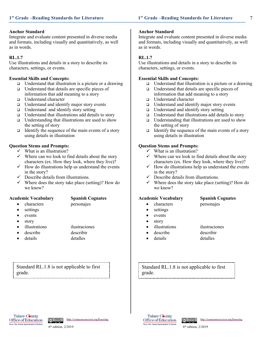Integrate and evaluate content presented in diverse media and formats, including visually and quantitatively, as well as in words.

### **RL.1.7**

Use illustrations and details in a story to describe its characters, settings, or events.

#### **Essential Skills and Concepts:**

- $\Box$  Understand that illustration is a picture or a drawing
- $\Box$  Understand that details are specific pieces of information that add meaning to a story
- □ Understand character
- $\Box$  Understand and identify major story events
- $\Box$  Understand and identify story setting
- $\Box$  Understand that illustrations add details to story
- $\Box$  Understanding that illustrations are used to show the setting of story
- $\Box$  Identify the sequence of the main events of a story using details in illustration

### **Question Stems and Prompts:**

- $\checkmark$  What is an illustration?
- $\checkmark$  Where can we look to find details about the story characters (ex. How they look, where they live)?
- $\checkmark$  How do illustrations help us understand the events in the story?
- $\checkmark$  Describe details from illustrations.
- $\checkmark$  Where does the story take place (setting)? How do we know?

#### **Academic Vocabulary Spanish Cognates**

- 
- settings
- events
- story
- illustrations ilustraciones
- describe describir
- details detailes

Standard RL.1.8 is not applicable to first grade.

# **Anchor Standard**

Integrate and evaluate content presented in diverse media and formats, including visually and quantitatively, as well as in words.

# **RL.1.7**

Use illustrations and details in a story to describe its characters, settings, or events.

### **Essential Skills and Concepts:**

- $\Box$  Understand that illustration is a picture or a drawing
- $\Box$  Understand that details are specific pieces of information that add meaning to a story
- □ Understand character
- $\Box$  Understand and identify major story events
- $\Box$  Understand and identify story setting
- $\Box$  Understand that illustrations add details to story
- $\Box$  Understanding that illustrations are used to show the setting of story
- $\Box$  Identify the sequence of the main events of a story using details in illustration

#### **Question Stems and Prompts:**

- $\checkmark$  What is an illustration?
- $\checkmark$  Where can we look to find details about the story characters (ex. How they look, where they live)?
- $\checkmark$  How do illustrations help us understand the events in the story?
- $\checkmark$  Describe details from illustrations.
- $\checkmark$  Where does the story take place (setting)? How do we know?

#### **Academic Vocabulary Spanish Cognates**

- 
- characters personajes
- settings
- events
- story
	- illustrations ilustraciones
	- describe describir
	- details detailes

Standard RL.1.8 is not applicable to first grade.



7

- characters personajes
	-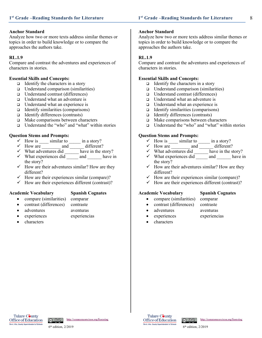Analyze how two or more texts address similar themes or topics in order to build knowledge or to compare the approaches the authors take.

### **RL.1.9**

Compare and contrast the adventures and experiences of characters in stories.

# **Essential Skills and Concepts:**

- $\Box$  Identify the characters in a story
- $\Box$  Understand comparison (similarities)
- $\Box$  Understand contrast (differences)
- □ Understand what an adventure is
- $\Box$  Understand what an experience is
- $\Box$  Identify similarities (comparisons)
- $\Box$  Identify differences (contrasts)
- $\Box$  Make comparisons between characters
- $\Box$  Understand the "who" and "what" within stories

#### **Question Stems and Prompts:**

- $\checkmark$  How is similar to in a story?
- $\checkmark$  How are and different?
- $\checkmark$  What adventures did have in the story?
- $\checkmark$  What experiences did and have in the story?
- $\checkmark$  How are their adventures similar? How are they different?
- $\checkmark$  How are their experiences similar (compare)?
- $\checkmark$  How are their experiences different (contrast)?

#### **Academic Vocabulary Spanish Cognates**

- compare (similarities) comparar
- contrast (differences) contraste
- adventures aventuras
- experiences experiencias
- characters

### **Anchor Standard**

Analyze how two or more texts address similar themes or topics in order to build knowledge or to compare the approaches the authors take.

8

# **RL.1.9**

Compare and contrast the adventures and experiences of characters in stories.

### **Essential Skills and Concepts:**

- $\Box$  Identify the characters in a story
- $\Box$  Understand comparison (similarities)
- $\Box$  Understand contrast (differences)
- □ Understand what an adventure is
- □ Understand what an experience is
- $\Box$  Identify similarities (comparisons)
- $\Box$  Identify differences (contrasts)
- □ Make comparisons between characters
- $\Box$  Understand the "who" and "what" within stories

#### **Question Stems and Prompts:**

- $\overline{\smile}$  How is similar to  $\overline{\smile}$  in a story?<br> $\overline{\smile}$  How are and different?
- $\checkmark$  How are and
- $\checkmark$  What adventures did have in the story?
- $\checkmark$  What experiences did and have in the story?
- $\checkmark$  How are their adventures similar? How are they different?
- $\checkmark$  How are their experiences similar (compare)?
- $\checkmark$  How are their experiences different (contrast)?

#### **Academic Vocabulary Spanish Cognates**

- compare (similarities) comparar
- contrast (differences) contraste
	-
- adventures aventuras
	- experiences experiencias
- characters



Tulare County Office of Education  $\frac{m}{100}$  a. Hire, County Superintendent of Schools  $\frac{1}{6}$  edition, 2/2019

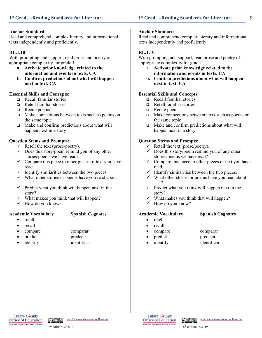Read and comprehend complex literary and informational texts independently and proficiently.

#### **RL.1.10**

With prompting and support, read prose and poetry of appropriate complexity for grade 1.

- **a. Activate prior knowledge related to the information and events in texts. CA**
- **b. Confirm predictions about what will happen next in text. CA**

#### **Essential Skills and Concepts:**

- Recall familiar stories
- Retell familiar stories
- $\Box$  Recite poems
- □ Make connections between texts such as poems on the same topic
- q Make and confirm predictions about what will happen next in a story

### **Question Stems and Prompts:**

- $\checkmark$  Retell the text (prose/poetry).
- $\checkmark$  Does this story/poem remind you of any other stories/poems we have read?
- $\checkmark$  Compare this piece to other pieces of text you have read.
- $\checkmark$  Identify similarities between the two pieces.
- $\checkmark$  What other stories or poems have you read about  $\overline{\phantom{a}}$
- $\overrightarrow{P}$  Predict what you think will happen next in the story?
- $\checkmark$  What makes you think that will happen?
- $\checkmark$  How do you know?

### **Academic Vocabulary Spanish Cognates**

- retell
- recall
- compare comparar
- predict predecir
- identify identificar

# **Anchor Standard**

Read and comprehend complex literary and informational texts independently and proficiently.

#### **RL.1.10**

With prompting and support, read prose and poetry of appropriate complexity for grade 1.

- **a. Activate prior knowledge related to the information and events in texts. CA**
- **b. Confirm predictions about what will happen next in text. CA**

### **Essential Skills and Concepts:**

- Recall familiar stories
- Retell familiar stories
- $\Box$  Recite poems
- □ Make connections between texts such as poems on the same topic
- q Make and confirm predictions about what will happen next in a story

#### **Question Stems and Prompts:**

- $\checkmark$  Retell the text (prose/poetry).
- $\checkmark$  Does this story/poem remind you of any other stories/poems we have read?
- Compare this piece to other pieces of text you have read.
- Identify similarities between the two pieces.
- $\checkmark$  What other stories or poems have you read about  $\overline{\phantom{a}}$
- $\overline{\phantom{a}}$  Predict what you think will happen next in the story?
- $\checkmark$  What makes you think that will happen?
- $\checkmark$  How do you know?

- retell
- recall
	- compare comparar
	- predict predecir
	- identify identificar



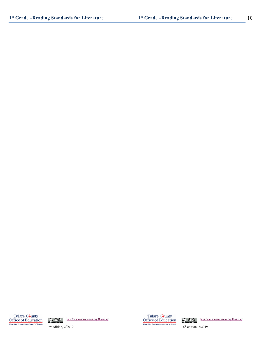Tulare County Office of Education



Tulare County Office of Education



10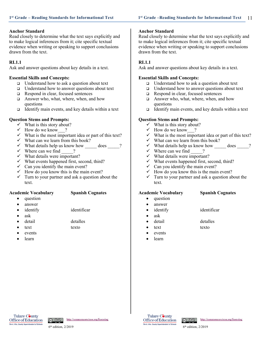Read closely to determine what the text says explicitly and to make logical inferences from it; cite specific textual evidence when writing or speaking to support conclusions drawn from the text.

#### **RI.1.1**

Ask and answer questions about key details in a text.

#### **Essential Skills and Concepts:**

- $\Box$  Understand how to ask a question about text
- $\Box$  Understand how to answer questions about text
- $\Box$  Respond in clear, focused sentences
- $\Box$  Answer who, what, where, when, and how questions
- $\Box$  Identify main events, and key details within a text

#### **Question Stems and Prompts:**

- $\checkmark$  What is this story about?
- $\checkmark$  How do we know ?
- $\checkmark$  What is the most important idea or part of this text?
- $\checkmark$  What can we learn from this book?
- $\checkmark$  What details help us know how does
- $\checkmark$  Where can we find  $\checkmark$ ?
- $\checkmark$  What details were important?
- $\checkmark$  What events happened first, second, third?
- $\checkmark$  Can you identify the main event?
- $\checkmark$  How do you know this is the main event?
- $\checkmark$  Turn to your partner and ask a question about the text.

#### **Academic Vocabulary Spanish Cognates**

- question
- answer
	- identify identificar
- ask
- detail detailes
- text texto
- events
- learn

#### **Anchor Standard**

Read closely to determine what the text says explicitly and to make logical inferences from it; cite specific textual evidence when writing or speaking to support conclusions drawn from the text.

#### **RI.1.1**

Ask and answer questions about key details in a text.

#### **Essential Skills and Concepts:**

- $\Box$  Understand how to ask a question about text
- $\Box$  Understand how to answer questions about text
- $\Box$  Respond in clear, focused sentences
- $\Box$  Answer who, what, where, when, and how questions
- $\Box$  Identify main events, and key details within a text

#### **Question Stems and Prompts:**

- $\checkmark$  What is this story about?
- $\checkmark$  How do we know ?
- $\checkmark$  What is the most important idea or part of this text?
- $\checkmark$  What can we learn from this book?
- $\checkmark$  What details help us know how does ?
- $\checkmark$  Where can we find  $\checkmark$ ?
- $\checkmark$  What details were important?
- $\checkmark$  What events happened first, second, third?
- $\checkmark$  Can you identify the main event?
- $\checkmark$  How do you know this is the main event?
- $\checkmark$  Turn to your partner and ask a question about the text.

- question
- answer
	- identify identificar
- ask
	- detail detailes
- text texto
- events
- learn



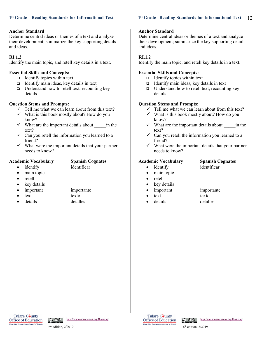Determine central ideas or themes of a text and analyze their development; summarize the key supporting details and ideas.

#### **RI.1.2**

Identify the main topic, and retell key details in a text.

#### **Essential Skills and Concepts:**

- $\Box$  Identify topics within text
- $\Box$  Identify main ideas, key details in text
- $\Box$  Understand how to retell text, recounting key details

#### **Question Stems and Prompts:**

- $\checkmark$  Tell me what we can learn about from this text?
- $\checkmark$  What is this book mostly about? How do you know?
- $\checkmark$  What are the important details about \_\_\_\_\_\_in the text?
- $\checkmark$  Can you retell the information you learned to a friend?
- $\checkmark$  What were the important details that your partner needs to know?

#### **Academic Vocabulary Spanish Cognates**

• identify identificar

- 
- main topic
- retell
- key details
- important importante
- $\bullet$  text texto
- 
- details detailes

**Anchor Standard**

Determine central ideas or themes of a text and analyze their development; summarize the key supporting details and ideas.

#### **RI.1.2**

Identify the main topic, and retell key details in a text.

#### **Essential Skills and Concepts:**

- $\Box$  Identify topics within text
- $\Box$  Identify main ideas, key details in text
- $\Box$  Understand how to retell text, recounting key details

#### **Question Stems and Prompts:**

- $\checkmark$  Tell me what we can learn about from this text?
- $\checkmark$  What is this book mostly about? How do you know?
- $\checkmark$  What are the important details about \_\_\_\_\_\_in the text?
- $\checkmark$  Can you retell the information you learned to a friend?
- $\checkmark$  What were the important details that your partner needs to know?

### **Academic Vocabulary Spanish Cognates**

- identify identificar
- main topic
- retell
	- key details
- important importante
- text texto
	- details detailes

Tulare County Office of Education Tim A. Hire, County Superintendent of Schools



Tulare County Office of Education  $\frac{m}{100}$  a. Hire, County Superintendent of Schools  $\frac{1}{6}$  edition, 2/2019

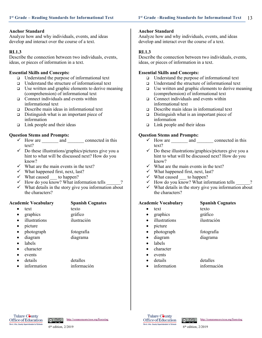Analyze how and why individuals, events, and ideas develop and interact over the course of a text.

#### **RI.1.3**

Describe the connection between two individuals, events, ideas, or pieces of information in a text.

#### **Essential Skills and Concepts:**

- $\Box$  Understand the purpose of informational text
- $\Box$  Understand the structure of informational text
- $\Box$  Use written and graphic elements to derive meaning (comprehension) of informational text
- $\Box$  Connect individuals and events within informational text
- $\Box$  Describe main ideas in informational text
- $\Box$  Distinguish what is an important piece of information
- $\Box$  Link people and their ideas

#### **Question Stems and Prompts:**

- $\checkmark$  How are and connected in this text?
- $\checkmark$  Do these illustrations/graphics/pictures give you a hint to what will be discussed next? How do you know?
- $\checkmark$  What are the main events in the text?
- $\checkmark$  What happened first, next, last?
- $\checkmark$  What caused to happen?
- $\checkmark$  How do you know? What information tells
- $\checkmark$  What details in the story give you information about the characters?

#### **Academic Vocabulary Spanish Cognates**  $\bullet$  text texto

- graphics gráfico
- illustrations ilustración
- picture
- photograph fotografía
- diagram diagrama
- labels
- character
- events
- details detalles
- information información

#### **Anchor Standard**

Analyze how and why individuals, events, and ideas develop and interact over the course of a text.

#### **RI.1.3**

Describe the connection between two individuals, events, ideas, or pieces of information in a text.

#### **Essential Skills and Concepts:**

- $\Box$  Understand the purpose of informational text
- $\Box$  Understand the structure of informational text
- $\Box$  Use written and graphic elements to derive meaning (comprehension) of informational text
- $\Box$  Connect individuals and events within informational text
- $\Box$  Describe main ideas in informational text
- $\Box$  Distinguish what is an important piece of information
- $\Box$  Link people and their ideas

#### **Question Stems and Prompts:**

- $\checkmark$  How are and connected in this text?
- $\checkmark$  Do these illustrations/graphics/pictures give you a hint to what will be discussed next? How do you know?
- $\checkmark$  What are the main events in the text?
- $\checkmark$  What happened first, next, last?
- $\checkmark$  What caused to happen?
- $\checkmark$  How do you know? What information tells
- $\checkmark$  What details in the story give you information about the characters?

| text          | texto       |
|---------------|-------------|
| graphics      | gráfico     |
| illustrations | ilustración |
| picture       |             |
| photograph    | fotografía  |
| diagram       | diagrama    |
| labels        |             |
| character     |             |
| events        |             |
| details       | detalles    |
| information   | información |



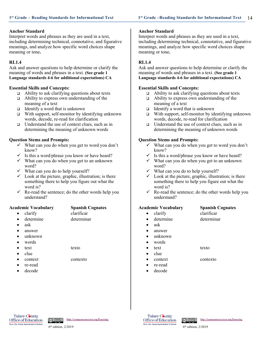Interpret words and phrases as they are used in a text, including determining technical, connotative, and figurative meanings, and analyze how specific word choices shape meaning or tone**.**

#### **RI.1.4**

Ask and answer questions to help determine or clarify the meaning of words and phrases in a text. **(See grade 1 Language standards 4-6 for additional expectations) CA**

#### **Essential Skills and Concepts:**

- $\Box$  Ability to ask clarifying questions about texts
- q Ability to express own understanding of the meaning of a text
- $\Box$  Identify a word that is unknown
- $\Box$  With support, self-monitor by identifying unknown words, decode, re-read for clarification
- $\Box$  Understand the use of context clues, such as in determining the meaning of unknown words

#### **Question Stems and Prompts:**

- $\checkmark$  What can you do when you get to word you don't know?
- $\checkmark$  Is this a word/phrase you know or have heard?
- $\checkmark$  What can you do when you get to an unknown word?
- $\checkmark$  What can you do to help yourself?
- $\checkmark$  Look at the picture, graphic, illustration; is there something there to help you figure out what the word is?
- $\checkmark$  Re-read the sentence; do the other words help you understand?

#### **Academic Vocabulary Spanish Cognates**

- clarify clarificar determine determinar
- 
- ask
- answer
- unknown
- words

- clue
- context contexto
- re-read
- decode

## **Anchor Standard**

Interpret words and phrases as they are used in a text, including determining technical, connotative, and figurative meanings, and analyze how specific word choices shape meaning or tone**.**

### **RI.1.4**

Ask and answer questions to help determine or clarify the meaning of words and phrases in a text. **(See grade 1 Language standards 4-6 for additional expectations) CA**

#### **Essential Skills and Concepts:**

- $\Box$  Ability to ask clarifying questions about texts
- $\Box$  Ability to express own understanding of the meaning of a text
- $\Box$  Identify a word that is unknown
- $\Box$  With support, self-monitor by identifying unknown words, decode, re-read for clarification
- $\Box$  Understand the use of context clues, such as in determining the meaning of unknown words

#### **Question Stems and Prompts:**

- $\checkmark$  What can you do when you get to word you don't know?
- $\checkmark$  Is this a word/phrase you know or have heard?
- $\checkmark$  What can you do when you get to an unknown word?
- $\checkmark$  What can you do to help yourself?
- $\checkmark$  Look at the picture, graphic, illustration; is there something there to help you figure out what the word is?
- $\checkmark$  Re-read the sentence; do the other words help you understand?

#### **Academic Vocabulary Spanish Cognates**

- clarify clarificar
- determine determinar
- $\bullet$  ask
- answer
- unknown
- words
- text texto
- clue
- context contexto
- re-read
- decode





text texto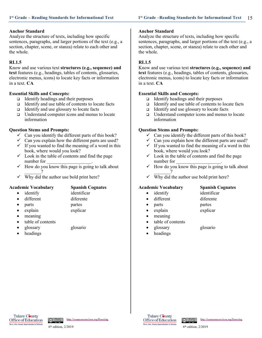Analyze the structure of texts, including how specific sentences, paragraphs, and larger portions of the text (e.g., a section, chapter, scene, or stanza) relate to each other and the whole.

#### **RI.1.5**

Know and use various text **structures (e.g., sequence) and text** features (e.g., headings, tables of contents, glossaries, electronic menus, icons) to locate key facts or information in a text. **CA**

#### **Essential Skills and Concepts:**

- $\Box$  Identify headings and their purposes
- $\Box$  Identify and use table of contents to locate facts
- $\Box$  Identify and use glossary to locate facts
- $\Box$  Understand computer icons and menus to locate information

#### **Question Stems and Prompts:**

- $\checkmark$  Can you identify the different parts of this book?
- $\checkmark$  Can you explain how the different parts are used?
- $\checkmark$  If you wanted to find the meaning of a word in this book, where would you look?
- $\checkmark$  Look in the table of contents and find the page number for
- $\checkmark$  How do you know this page is going to talk about \_\_\_\_\_\_\_?
- $\checkmark$  Why did the author use bold print here?

#### **Academic Vocabulary Spanish Cognates**

- identify identificar
	-
	- different diferente • parts partes
- 
- explain explicar
- meaning
- table of contents
- glossary glosario
- headings

#### **Anchor Standard**

Analyze the structure of texts, including how specific sentences, paragraphs, and larger portions of the text (e.g., a section, chapter, scene, or stanza) relate to each other and the whole.

#### **RI.1.5**

Know and use various text **structures (e.g., sequence) and text** features (e.g., headings, tables of contents, glossaries, electronic menus, icons) to locate key facts or information in a text. **CA**

#### **Essential Skills and Concepts:**

- $\Box$  Identify headings and their purposes
- $\Box$  Identify and use table of contents to locate facts
- $\Box$  Identify and use glossary to locate facts
- $\Box$  Understand computer icons and menus to locate information

#### **Question Stems and Prompts:**

- $\checkmark$  Can you identify the different parts of this book?
- $\checkmark$  Can you explain how the different parts are used?
- $\checkmark$  If you wanted to find the meaning of a word in this book, where would you look?
- $\checkmark$  Look in the table of contents and find the page number for
- $\checkmark$  How do you know this page is going to talk about \_\_\_\_\_\_\_?
- $\checkmark$  Why did the author use bold print here?

- identify identificar
	-
- parts **partes** 
	- explain explicar
- meaning
- table of contents
- glossary glosario
- headings







- different diferente
	-
	-
	-
	-
-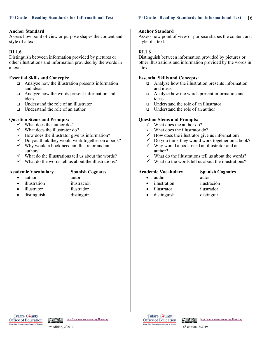Assess how point of view or purpose shapes the content and style of a text.

#### **RI.1.6**

Distinguish between information provided by pictures or other illustrations and information provided by the words in a text.

#### **Essential Skills and Concepts:**

- $\Box$  Analyze how the illustration presents information and ideas
- □ Analyze how the words present information and ideas
- □ Understand the role of an illustrator
- $\Box$  Understand the role of an author

#### **Question Stems and Prompts:**

- $\checkmark$  What does the author do?
- $\checkmark$  What does the illustrator do?
- $\checkmark$  How does the illustrator give us information?
- $\checkmark$  Do you think they would work together on a book?
- $\checkmark$  Why would a book need an illustrator and an author?
- $\checkmark$  What do the illustrations tell us about the words?
- $\checkmark$  What do the words tell us about the illustrations?

- author autor
- illustration ilustración
- illustrator ilustrador
- distinguish distinguir

### **Anchor Standard**

Assess how point of view or purpose shapes the content and style of a text.

#### **RI.1.6**

Distinguish between information provided by pictures or other illustrations and information provided by the words in a text.

#### **Essential Skills and Concepts:**

- $\Box$  Analyze how the illustration presents information and ideas
- $\Box$  Analyze how the words present information and ideas
- q Understand the role of an illustrator
- $\Box$  Understand the role of an author

#### **Question Stems and Prompts:**

- $\checkmark$  What does the author do?
- $\checkmark$  What does the illustrator do?
- $\checkmark$  How does the illustrator give us information?
- Do you think they would work together on a book?
- ü Why would a book need an illustrator and an author?
- What do the illustrations tell us about the words?
- What do the words tell us about the illustrations?

#### **Academic Vocabulary Spanish Cognates**

- 
- author autor
	- illustration ilustración
		- illustrator ilustrador
		- distinguish distinguir





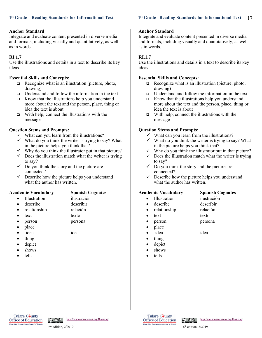Integrate and evaluate content presented in diverse media and formats, including visually and quantitatively, as well as in words.

#### **RI.1.7**

Use the illustrations and details in a text to describe its key ideas.

#### **Essential Skills and Concepts:**

- $\Box$  Recognize what is an illustration (picture, photo, drawing)
- $\Box$  Understand and follow the information in the text
- $\Box$  Know that the illustrations help you understand more about the text and the person, place, thing or idea the text is about
- $\Box$  With help, connect the illustrations with the message

#### **Question Stems and Prompts:**

- $\checkmark$  What can you learn from the illustrations?
- $\checkmark$  What do you think the writer is trying to say? What in the picture helps you think that?
- $\checkmark$  Why do you think the illustrator put in that picture?
- $\checkmark$  Does the illustration match what the writer is trying to say?
- $\checkmark$  Do you think the story and the picture are connected?
- $\checkmark$  Describe how the picture helps you understand what the author has written.

#### **Academic Vocabulary Spanish Cognates**

- Illustration ilustración
- 
- describe describir
- relationship relación
- $\bullet$  text texto
- person persona
- place
- idea idea
- thing
- depict
- shows
- tells

#### **Anchor Standard**

Integrate and evaluate content presented in diverse media and formats, including visually and quantitatively, as well as in words.

### **RI.1.7**

Use the illustrations and details in a text to describe its key ideas.

#### **Essential Skills and Concepts:**

- $\Box$  Recognize what is an illustration (picture, photo, drawing)
- $\Box$  Understand and follow the information in the text
- $\Box$  Know that the illustrations help you understand more about the text and the person, place, thing or idea the text is about
- $\Box$  With help, connect the illustrations with the message

#### **Question Stems and Prompts:**

- $\checkmark$  What can you learn from the illustrations?
- $\checkmark$  What do you think the writer is trying to say? What in the picture helps you think that?
- $\checkmark$  Why do you think the illustrator put in that picture?
- $\checkmark$  Does the illustration match what the writer is trying to say?
- $\checkmark$  Do you think the story and the picture are connected?
- $\checkmark$  Describe how the picture helps you understand what the author has written.

- Illustration ilustración
	-
- describe describir
- relationship relación
- $\bullet$  text texto
- person persona
- place
	- idea idea
- thing
- depict
- shows
- tells



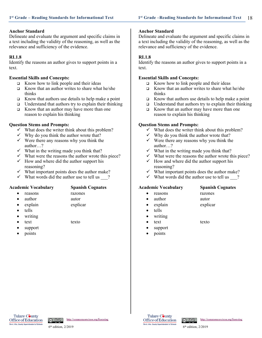Delineate and evaluate the argument and specific claims in a text including the validity of the reasoning, as well as the relevance and sufficiency of the evidence.

# **RI.1.8**

Identify the reasons an author gives to support points in a text.

# **Essential Skills and Concepts:**

- $\Box$  Know how to link people and their ideas
- $\Box$  Know that an author writes to share what he/she thinks
- $\Box$  Know that authors use details to help make a point
- $\Box$  Understand that authors try to explain their thinking
- $\Box$  Know that an author may have more than one reason to explain his thinking

# **Question Stems and Prompts:**

- $\checkmark$  What does the writer think about this problem?
- $\checkmark$  Why do you think the author wrote that?
- $\checkmark$  Were there any reasons why you think the author…?
- $\checkmark$  What in the writing made you think that?
- $\checkmark$  What were the reasons the author wrote this piece?
- $\checkmark$  How and where did the author support his reasoning?
- $\checkmark$  What important points does the author make?
- $\checkmark$  What words did the author use to tell us ?

# **Academic Vocabulary Spanish Cognates**

- reasons razones
	- author autor
- explain explicar
- tells
- writing
- text texto
- support
- points

# **Anchor Standard**

Delineate and evaluate the argument and specific claims in a text including the validity of the reasoning, as well as the relevance and sufficiency of the evidence.

### **RI.1.8**

Identify the reasons an author gives to support points in a text.

# **Essential Skills and Concepts:**

- Know how to link people and their ideas
- $\Box$  Know that an author writes to share what he/she thinks
- $\Box$  Know that authors use details to help make a point
- $\Box$  Understand that authors try to explain their thinking
- $\Box$  Know that an author may have more than one reason to explain his thinking

# **Question Stems and Prompts:**

- What does the writer think about this problem?
- $\checkmark$  Why do you think the author wrote that?
- $\checkmark$  Were there any reasons why you think the author…?
- $\checkmark$  What in the writing made you think that?
- $\checkmark$  What were the reasons the author wrote this piece?
- $\checkmark$  How and where did the author support his reasoning?
- $\checkmark$  What important points does the author make?
- $\checkmark$  What words did the author use to tell us ?

- reasons razones
	- author autor
- explain explicar
- tells
- writing
	- text texto
- support
- points





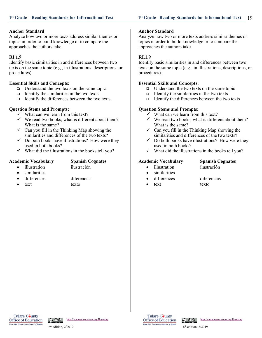Analyze how two or more texts address similar themes or topics in order to build knowledge or to compare the approaches the authors take.

#### **RI.1.9**

Identify basic similarities in and differences between two texts on the same topic (e.g., in illustrations, descriptions, or procedures).

#### **Essential Skills and Concepts:**

- $\Box$  Understand the two texts on the same topic
- $\Box$  Identify the similarities in the two texts
- $\Box$  Identify the differences between the two texts

#### **Question Stems and Prompts:**

- $\checkmark$  What can we learn from this text?
- $\checkmark$  We read two books, what is different about them? What is the same?
- $\checkmark$  Can you fill in the Thinking Map showing the similarities and differences of the two texts?
- $\checkmark$  Do both books have illustrations? How were they used in both books?
- $\checkmark$  What did the illustrations in the books tell you?

#### **Academic Vocabulary Spanish Cognates** • illustration ilustración • similarities differences diferencias

- 
- 

text texto

#### **Anchor Standard**

Analyze how two or more texts address similar themes or topics in order to build knowledge or to compare the approaches the authors take.

#### **RI.1.9**

Identify basic similarities in and differences between two texts on the same topic (e.g., in illustrations, descriptions, or procedures).

#### **Essential Skills and Concepts:**

- $\Box$  Understand the two texts on the same topic
- $\Box$  Identify the similarities in the two texts
- $\Box$  Identify the differences between the two texts

#### **Question Stems and Prompts:**

- $\checkmark$  What can we learn from this text?
- $\checkmark$  We read two books, what is different about them? What is the same?
- $\checkmark$  Can you fill in the Thinking Map showing the similarities and differences of the two texts?
- $\checkmark$  Do both books have illustrations? How were they used in both books?
- $\checkmark$  What did the illustrations in the books tell you?

#### **Academic Vocabulary Spanish Cognates**

• illustration ilustración

- similarities
	-
- differences diferencias
- text texto





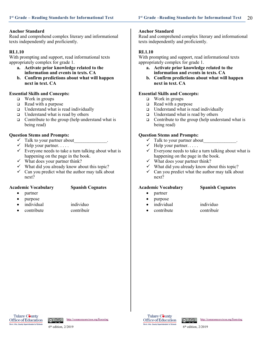Read and comprehend complex literary and informational texts independently and proficiently.

#### **RI.1.10**

With prompting and support, read informational texts appropriately complex for grade 1.

- **a. Activate prior knowledge related to the information and events in texts. CA**
- **b. Confirm predictions about what will happen next in text. CA**

#### **Essential Skills and Concepts:**

- $\Box$  Work in groups
- $\Box$  Read with a purpose
- $\Box$  Understand what is read individually
- $\Box$  Understand what is read by others
- $\Box$  Contribute to the group (help understand what is being read)

#### **Question Stems and Prompts:**

- $\checkmark$  Talk to your partner about
- $\checkmark$  Help your partner. . . . .
- $\checkmark$  Everyone needs to take a turn talking about what is happening on the page in the book.
- $\checkmark$  What does your partner think?
- $\checkmark$  What did you already know about this topic?
- $\checkmark$  Can you predict what the author may talk about next?

#### **Academic Vocabulary Spanish Cognates**

- partner
- 
- 
- purpose
- individual individuo
- contribute contribuír

### **Anchor Standard**

Read and comprehend complex literary and informational texts independently and proficiently.

#### **RI.1.10**

With prompting and support, read informational texts appropriately complex for grade 1.

- **a. Activate prior knowledge related to the information and events in texts. CA**
- **b. Confirm predictions about what will happen next in text. CA**

#### **Essential Skills and Concepts:**

- $\Box$  Work in groups
- $\Box$  Read with a purpose
- $\Box$  Understand what is read individually
- $\Box$  Understand what is read by others
- $\Box$  Contribute to the group (help understand what is being read)

#### **Question Stems and Prompts:**

- $\checkmark$  Talk to your partner about
- $\checkmark$  Help your partner. . . . .
- $\checkmark$  Everyone needs to take a turn talking about what is happening on the page in the book.
- $\checkmark$  What does your partner think?
- $\checkmark$  What did you already know about this topic?
- $\checkmark$  Can you predict what the author may talk about next?

#### **Academic Vocabulary Spanish Cognates**

- partner
- purpose
	- individual individuo
	- contribute contribuír

Tulare County Office of Education Tim A. Hire, County Superintendent of Schools





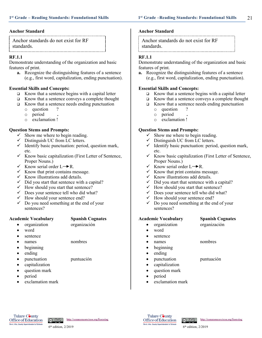| Anchor standards do not exist for RF |  |
|--------------------------------------|--|
| standards.                           |  |

# **RF.1.1**

Demonstrate understanding of the organization and basic features of print.

**a.** Recognize the distinguishing features of a sentence (e.g., first word, capitalization, ending punctuation).

# **Essential Skills and Concepts:**

- $\Box$  Know that a sentence begins with a capital letter
- $\Box$  Know that a sentence conveys a complete thought
- $\Box$  Know that a sentence needs ending punctuation
	- o question ?
	- o period **.**
	- o exclamation !

# **Question Stems and Prompts:**

- $\checkmark$  Show me where to begin reading.
- $\checkmark$  Distinguish UC from LC letters.
- $\checkmark$  Identify basic punctuation: period, question mark, etc.
- $\checkmark$  Know basic capitalization (First Letter of Sentence, Proper Nouns.
- $\checkmark$  Know serial order L $\to$ R.
- $\checkmark$  Know that print contains message.
- $\checkmark$  Know illustrations add details.
- $\checkmark$  Did you start that sentence with a capital?
- $\checkmark$  How should you start that sentence?
- $\checkmark$  Does your sentence tell who did what?
- $\checkmark$  How should your sentence end?
- $\checkmark$  Do you need something at the end of your sentences?

# **Academic Vocabulary Spanish Cognates**

- organization organización
- word
- sentence
- names nombres
- beginning
- ending
- punctuation puntuación
- capitalization
- question mark
- period
- exclamation mark

# **Anchor Standard**

### **RF.1.1**

Demonstrate understanding of the organization and basic features of print.

**a.** Recognize the distinguishing features of a sentence (e.g., first word, capitalization, ending punctuation).

# **Essential Skills and Concepts:**

- $\Box$  Know that a sentence begins with a capital letter
- $\Box$  Know that a sentence conveys a complete thought
- $\Box$  Know that a sentence needs ending punctuation o question ?
	- o period **.**
	- o exclamation !

# **Question Stems and Prompts:**

- $\checkmark$  Show me where to begin reading.
- $\checkmark$  Distinguish UC from LC letters.
- $\checkmark$  Identify basic punctuation: period, question mark, etc.
- $\checkmark$  Know basic capitalization (First Letter of Sentence, Proper Nouns.)
- $\checkmark$  Know serial order L $\to$ R.
- $\checkmark$  Know that print contains message.
- $\checkmark$  Know illustrations add details.
- $\checkmark$  Did you start that sentence with a capital?
- $\checkmark$  How should you start that sentence?
- $\checkmark$  Does your sentence tell who did what?
- $\checkmark$  How should your sentence end?
- $\checkmark$  Do you need something at the end of your sentences?

# **Academic Vocabulary Spanish Cognates**

- organization organización
- word
- sentence
	- names nombres
- **beginning**
- ending
- punctuation puntuación
- capitalization
- question mark
- period
- exclamation mark

Tulare County Office of Education Tim A. Hire, County Superintendent of Schools



Tulare County Office of Education  $\frac{m}{100}$  a. Hire, County Superintendent of Schools  $\frac{1}{6}$  edition, 2/2019

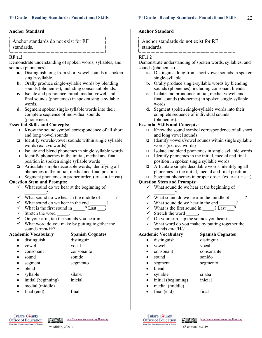| Anchor standards do not exist for RF |  |
|--------------------------------------|--|
| standards.                           |  |

#### **RF.1.2**

Demonstrate understanding of spoken words, syllables, and sounds (phonemes).

- **a.** Distinguish long from short vowel sounds in spoken single-syllable.
- **b.** Orally produce single-syllable words by blending sounds (phonemes), including consonant blends.
- **c.** Isolate and pronounce initial, medial vowel, and final sounds (phonemes) in spoken single-syllable words.
- **d.** Segment spoken single-syllable words into their complete sequence of individual sounds (phonemes).

#### **Essential Skills and Concepts:**

- $\Box$  Know the sound symbol correspondence of all short and long vowel sounds
- $\Box$  Identify vowels/vowel sounds within single syllable words (ex. cvc words)
- $\Box$  Isolate and blend phonemes in single syllable words
- $\Box$  Identify phonemes in the initial, medial and final position in spoken single syllable words
- $\Box$  Articulate simple decodable words, identifying all phonemes in the initial, medial and final position
- $\Box$  Segment phonemes in proper order. (ex. c-a-t = cat)

#### **Question Stem and Prompts:**

- $\checkmark$  What sound do we hear at the beginning of \_\_\_\_\_\_\_\_\_?
- $\checkmark$  What sound do we hear in the middle of  $\frac{\checkmark}{\checkmark}$
- $\checkmark$  What sound do we hear in the end
- $\checkmark$  What is the first sound in ? Last
- $\checkmark$  Stretch the word ,
- $\checkmark$  On your arm, tap the sounds you hear in
- $\checkmark$  What word do you make by putting together the sounds /m/a/H/?

#### **Academic Vocabulary Spanish Cognates**

- distinguish distinguir
- vowel vocal
- consonant consonante
- sound sonido
- segment segmento
- blend
- syllable sílaba
- initial (beginning) inicial
- medial (middle)
- final (end) final

#### **Anchor Standard**

| Anchor standards do not exist for RF |
|--------------------------------------|
| standards.                           |
|                                      |

#### **RF.1.2**

Demonstrate understanding of spoken words, syllables, and sounds (phonemes).

- **a.** Distinguish long from short vowel sounds in spoken single-syllable.
- **b.** Orally produce single-syllable words by blending sounds (phonemes), including consonant blends.
- **c.** Isolate and pronounce initial, medial vowel, and final sounds (phonemes) in spoken single-syllable words.
- **d.** Segment spoken single-syllable words into their complete sequence of individual sounds (phonemes).

#### **Essential Skills and Concepts:**

- $\Box$  Know the sound symbol correspondence of all short and long vowel sounds
- $\Box$  Identify vowels/vowel sounds within single syllable words (ex. cvc words)
- $\Box$  Isolate and blend phonemes in single syllable words
- $\Box$  Identify phonemes in the initial, medial and final position in spoken single syllable words
- $\Box$  Articulate simple decodable words, identifying all phonemes in the initial, medial and final position

#### $\Box$  Segment phonemes in proper order. (ex. c-a-t = cat)

#### **Question Stem and Prompts:**

- $\checkmark$  What sound do we hear at the beginning of \_\_\_\_\_\_\_\_\_?
- $\checkmark$  What sound do we hear in the middle of
- ü What sound do we hear in the end \_\_\_\_\_\_\_?
- $\checkmark$  What is the first sound in ? Last
- Stretch the word \_\_\_\_\_,
- $\checkmark$  On your arm, tap the sounds you hear in
- $\checkmark$  What word do you make by putting together the sounds /m/a/H/?

- distinguish distinguir
	- vowel vocal
	- consonant consonante
- sound sonido
- segment segmento
- blend
- syllable sílaba
	- initial (beginning) inicial
- medial (middle)
- final (end) final



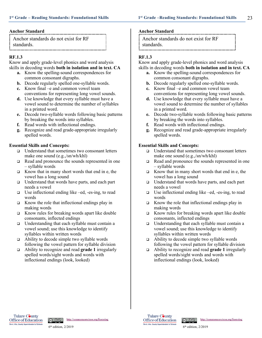| Anchor standards do not exist for RF |  |
|--------------------------------------|--|
| standards.                           |  |

### **RF.1.3**

Know and apply grade-level phonics and word analysis skills in decoding words **both in isolation and in text. CA**

- **a.** Know the spelling-sound correspondences for common consonant digraphs.
- **b.** Decode regularly spelled one-syllable words.
- **c.** Know final –e and common vowel team conventions for representing long vowel sounds.
- **d.** Use knowledge that every syllable must have a vowel sound to determine the number of syllables in a printed word.
- **e.** Decode two-syllable words following basic patterns by breaking the words into syllables.
- **f.** Read words with inflectional endings.
- **g.** Recognize and read grade-appropriate irregularly spelled words.

#### **Essential Skills and Concepts:**

- $\Box$  Understand that sometimes two consonant letters make one sound (e.g.,/sn/wh/khl)
- $\Box$  Read and pronounce the sounds represented in one – syllable words
- $\Box$  Know that in many short words that end in e, the vowel has a long sound
- $\Box$  Understand that words have parts, and each part needs a vowel
- q Use inflectional ending like –ed, -es-ing, to read words
- $\Box$  Know the role that inflectional endings play in making words
- $\Box$  Know rules for breaking words apart like double consonants, inflected endings
- $\Box$  Understanding that each syllable must contain a vowel sound; use this knowledge to identify syllables within written words
- $\Box$  Ability to decode simple two syllable words following the vowel pattern for syllable division
- q Ability to recognize and read **grade 1** irregularly spelled words/sight words and words with inflectional endings (look, looked)

#### **Anchor Standard**

Anchor standards do not exist for RF standards.

#### **RF.1.3**

Know and apply grade-level phonics and word analysis skills in decoding words **both in isolation and in text. CA**

- **a.** Know the spelling-sound correspondences for common consonant digraphs.
- **b.** Decode regularly spelled one-syllable words.
- **c.** Know final –e and common vowel team conventions for representing long vowel sounds.
- **d.** Use knowledge that every syllable must have a vowel sound to determine the number of syllables in a printed word.
- **e.** Decode two-syllable words following basic patterns by breaking the words into syllables.
- **f.** Read words with inflectional endings.
- **g.** Recognize and read grade-appropriate irregularly spelled words.

#### **Essential Skills and Concepts:**

- $\Box$  Understand that sometimes two consonant letters make one sound (e.g.,/sn/wh/khl)
- $\Box$  Read and pronounce the sounds represented in one – syllable words
- $\Box$  Know that in many short words that end in e, the vowel has a long sound
- $\Box$  Understand that words have parts, and each part needs a vowel
- □ Use inflectional ending like –ed, -es-ing, to read words
- $\Box$  Know the role that inflectional endings play in making words
- $\Box$  Know rules for breaking words apart like double consonants, inflected endings
- $\Box$  Understanding that each syllable must contain a vowel sound; use this knowledge to identify syllables within written words
- $\Box$  Ability to decode simple two syllable words following the vowel pattern for syllable division
- q Ability to recognize and read **grade 1** irregularly spelled words/sight words and words with inflectional endings (look, looked)

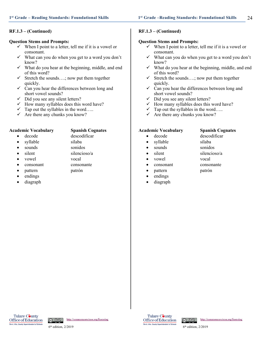# **RF.1.3 – (Continued)**

### **Question Stems and Prompts:**

- $\checkmark$  When I point to a letter, tell me if it is a vowel or consonant.
- $\checkmark$  What can you do when you get to a word you don't know?
- $\checkmark$  What do you hear at the beginning, middle, and end of this word?
- $\checkmark$  Stretch the sounds....; now put them together quickly.
- $\checkmark$  Can you hear the differences between long and short vowel sounds?
- $\checkmark$  Did you see any silent letters?
- $\checkmark$  How many syllables does this word have?
- $\checkmark$  Tap out the syllables in the word…..
- $\checkmark$  Are there any chunks you know?

# **Academic Vocabulary Spanish Cognates**

- decode descodificar
- syllable sílaba
	-
- sounds sonidos
- silent silencioso/a
- vowel vocal
- consonant consonante
- pattern patrón
- endings
- diagraph

### **RF.1.3 – (Continued)**

#### **Question Stems and Prompts:**

- $\checkmark$  When I point to a letter, tell me if it is a vowel or consonant.
- $\checkmark$  What can you do when you get to a word you don't know?
- $\checkmark$  What do you hear at the beginning, middle, and end of this word?
- $\checkmark$  Stretch the sounds....; now put them together quickly.
- $\checkmark$  Can you hear the differences between long and short vowel sounds?
- $\checkmark$  Did you see any silent letters?
- $\checkmark$  How many syllables does this word have?
- Tap out the syllables in the word…..
- $\checkmark$  Are there any chunks you know?

#### **Academic Vocabulary Spanish Cognates**

- 
- decode descodificar • svllable sílaba
	-
	- sounds sonidos
	- silent silencioso/a
- vowel vocal
- consonant consonante
	- pattern patrón
- endings
- diagraph



Tulare County Office of Education  $\frac{m}{100}$  a. Hire, County Superintendent of Schools  $\frac{1}{6}$  edition, 2/2019

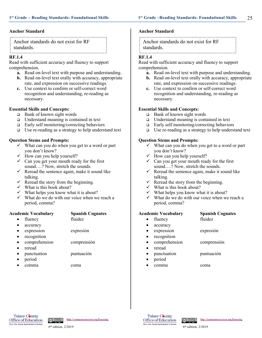Anchor standards do not exist for RF standards. 

#### **RF.1.4**

Read with sufficient accuracy and fluency to support comprehension.

- **a.** Read on-level text with purpose and understanding.
- **b.** Read on-level text orally with accuracy, appropriate rate, and expression on successive readings.
- **c.** Use context to confirm or self-correct word recognition and understanding, re-reading as necessary.

#### **Essential Skills and Concepts:**

- $\Box$  Bank of known sight words
- $\Box$  Understand meaning is contained in text
- $\Box$  Early self monitoring/correcting behaviors
- $\Box$  Use re-reading as a strategy to help understand text

#### **Question Stems and Prompts:**

- $\checkmark$  What can you do when you get to a word or part you don't know?
- $\checkmark$  How can you help yourself?
- $\checkmark$  Can you get your mouth ready for the first sound....? Now, stretch the sounds.
- $\checkmark$  Reread the sentence again, make it sound like talking.
- $\checkmark$  Reread the story from the beginning.
- $\checkmark$  What is this book about?
- $\checkmark$  What helps you know what it is about?
- $\checkmark$  What do we do with our voice when we reach a period, comma?

#### **Academic Vocabulary Spanish Cognates**

- fluency fluidez
- accuracy
- 
- expression expresión
- recognition
- comprehension comprensión
- reread
- punctuation puntuación
- period
- comma coma

#### **Anchor Standard**

| Anchor standards do not exist for RF |  |
|--------------------------------------|--|
| standards.                           |  |
|                                      |  |

#### **RF.1.4**

Read with sufficient accuracy and fluency to support comprehension.

- **a.** Read on-level text with purpose and understanding.
- **b.** Read on-level text orally with accuracy, appropriate rate, and expression on successive readings.
- **c.** Use context to confirm or self-correct word recognition and understanding, re-reading as necessary.

#### **Essential Skills and Concepts:**

- $\Box$  Bank of known sight words
- $\Box$  Understand meaning is contained in text
- $\Box$  Early self monitoring/correcting behaviors
- $\Box$  Use re-reading as a strategy to help understand text

#### **Question Stems and Prompts:**

- $\checkmark$  What can you do when you get to a word or part you don't know?
- $\checkmark$  How can you help yourself?
- $\checkmark$  Can you get your mouth ready for the first sound….? Now, stretch the sounds.
- $\checkmark$  Reread the sentence again, make it sound like talking.
- $\checkmark$  Reread the story from the beginning.
- $\checkmark$  What is this book about?
- $\checkmark$  What helps you know what it is about?
- $\checkmark$  What do we do with our voice when we reach a period, comma?

- fluency fluidez
- accuracy
	- expression expresión
- recognition
- comprehension comprensión
- reread
- punctuation puntuación
- period
- comma coma

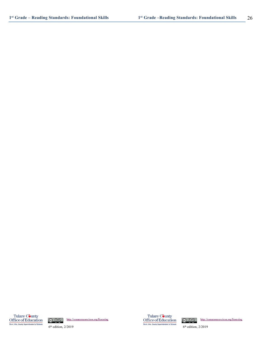Tulare County Office of Education



Tulare County Office of Education  $\frac{\text{http://common correct-toe.org/licensing}}{\text{Im } A, \text{ Hite, County Supplementedent of Schools}}$ <br>  $\frac{\text{Office of Education}}{\text{Im } A, \text{ Hite, County Supplementedent of Schools}}$ <br>  $\frac{\text{http://co. 2019}}{\text{Im } A, \text{ Hite, County Supplementedent of Schools}}$ Office of Education

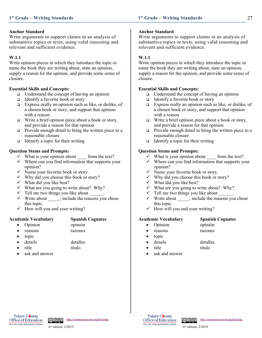Write arguments to support claims in an analysis of substantive topics or texts, using valid reasoning and relevant and sufficient evidence.

# **W.1.1**

Write opinion pieces in which they introduce the topic or name the book they are writing about, state an opinion, supply a reason for the opinion, and provide some sense of closure.

# **Essential Skills and Concepts:**

- $\Box$  Understand the concept of having an opinion
- $\Box$  Identify a favorite book or story
- $\Box$  Express orally an opinion such as like, or dislike, of a chosen book or story, and support that opinion with a reason
- $\Box$  Write a brief opinion piece about a book or story, and provide a reason for that opinion
- $\Box$  Provide enough detail to bring the written piece to a reasonable closure
- $\Box$  Identify a topic for their writing

# **Question Stems and Prompts:**

- $\checkmark$  What is your opinion about from the text?
- $\checkmark$  Where can you find information that supports your opinion?
- $\checkmark$  Name your favorite book or story.
- $\checkmark$  Why did you choose this book or story?
- $\checkmark$  What did you like best?
- $\checkmark$  What are you going to write about? Why?
- $\checkmark$  Tell me two things you like about  $\checkmark$ .
- $\checkmark$  Write about  $\checkmark$ ; include the reasons you chose this topic.
- $\checkmark$  How will you end your writing?

# **Academic Vocabulary Spanish Cognates**

- Opinion opinión
- reasons razones
- topic
- details detailes
- title título
- ask and answer

# **Anchor Standard**

Write arguments to support claims in an analysis of substantive topics or texts, using valid reasoning and relevant and sufficient evidence.

# **W.1.1**

Write opinion pieces in which they introduce the topic or name the book they are writing about, state an opinion, supply a reason for the opinion, and provide some sense of closure.

# **Essential Skills and Concepts:**

- $\Box$  Understand the concept of having an opinion
- $\Box$  Identify a favorite book or story
- $\Box$  Express orally an opinion such as like, or dislike, of a chosen book or story, and support that opinion with a reason
- $\Box$  Write a brief opinion piece about a book or story, and provide a reason for that opinion
- $\Box$  Provide enough detail to bring the written piece to a reasonable closure
- $\Box$  Identify a topic for their writing

# **Question Stems and Prompts:**

- $\checkmark$  What is your opinion about from the text?
- $\checkmark$  Where can you find information that supports your opinion?
- $\checkmark$  Name your favorite book or story.
- $\checkmark$  Why did you choose this book or story?
- $\checkmark$  What did you like best?
- $\checkmark$  What are you going to write about? Why?
- $\checkmark$  Tell me two things you like about
- $\checkmark$  Write about : include the reasons you chose this topic.
- $\checkmark$  How will you end your writing?

- 
- Opinion opinión
- reasons razones
- topic
- details detailes
	- title título
- ask and answer





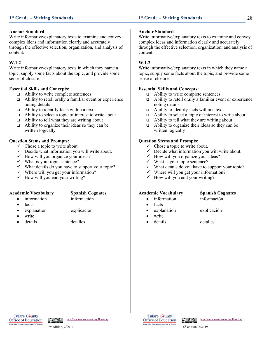Write informative/explanatory texts to examine and convey complex ideas and information clearly and accurately through the effective selection, organization, and analysis of content.

# **W.1.2**

Write informative/explanatory texts in which they name a topic, supply some facts about the topic, and provide some sense of closure.

# **Essential Skills and Concepts:**

- $\Box$  Ability to write complete sentences
- $\Box$  Ability to retell orally a familiar event or experience noting details
- $\Box$  Ability to identify facts within a text
- $\Box$  Ability to select a topic of interest to write about
- $\Box$  Ability to tell what they are writing about
- $\Box$  Ability to organize their ideas so they can be written logically

# **Question Stems and Prompts:**

- $\checkmark$  Chose a topic to write about.
- $\checkmark$  Decide what information you will write about.
- $\checkmark$  How will you organize your ideas?
- $\checkmark$  What is your topic sentence?
- $\checkmark$  What details do you have to support your topic?
- $\checkmark$  Where will you get your information?
- $\checkmark$  How will you end your writing?

# **Academic Vocabulary Spanish Cognates**

• information información

- facts
	- explanation explicación
- write
	- details detalles

# **Anchor Standard**

Write informative/explanatory texts to examine and convey complex ideas and information clearly and accurately through the effective selection, organization, and analysis of content.

# **W.1.2**

Write informative/explanatory texts in which they name a topic, supply some facts about the topic, and provide some sense of closure.

# **Essential Skills and Concepts:**

- $\Box$  Ability to write complete sentences
- $\Box$  Ability to retell orally a familiar event or experience noting details
- $\Box$  Ability to identify facts within a text
- $\Box$  Ability to select a topic of interest to write about
- $\Box$  Ability to tell what they are writing about
- $\Box$  Ability to organize their ideas so they can be written logically

# **Question Stems and Prompts:**

- $\checkmark$  Chose a topic to write about.
- $\checkmark$  Decide what information you will write about.
- $\checkmark$  How will you organize your ideas?
- $\checkmark$  What is your topic sentence?
- $\checkmark$  What details do you have to support your topic?
- $\checkmark$  Where will you get your information?
- $\checkmark$  How will you end your writing?

- information información
- facts
	- explanation explicación
- write
	- details detailes





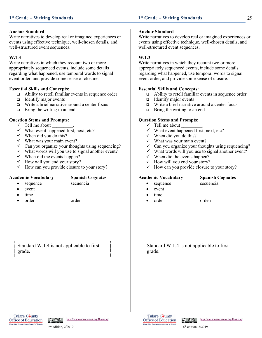Write narratives to develop real or imagined experiences or events using effective technique, well-chosen details, and well-structured event sequences.

### **W.1.3**

Write narratives in which they recount two or more appropriately sequenced events, include some details regarding what happened, use temporal words to signal event order, and provide some sense of closure.

#### **Essential Skills and Concepts:**

- q Ability to retell familiar events in sequence order
- $\Box$  Identify major events
- $\Box$  Write a brief narrative around a center focus
- $\Box$  Bring the writing to an end

#### **Question Stems and Prompts:**

- $\checkmark$  Tell me about
- $\checkmark$  What event happened first, next, etc?
- $\checkmark$  When did you do this?
- $\checkmark$  What was your main event?
- $\checkmark$  Can you organize your thoughts using sequencing?
- $\checkmark$  What words will you use to signal another event?
- $\checkmark$  When did the events happen?
- $\checkmark$  How will you end your story?
- $\checkmark$  How can you provide closure to your story?

#### **Academic Vocabulary Spanish Cognates**

- sequence secuencia
- event
- time
- 
- order orden

Standard W.1.4 is not applicable to first grade.

#### **Anchor Standard**

Write narratives to develop real or imagined experiences or events using effective technique, well-chosen details, and well-structured event sequences.

# **W.1.3**

Write narratives in which they recount two or more appropriately sequenced events, include some details regarding what happened, use temporal words to signal event order, and provide some sense of closure.

#### **Essential Skills and Concepts:**

- $\Box$  Ability to retell familiar events in sequence order
- $\Box$  Identify major events
- $\Box$  Write a brief narrative around a center focus
- $\Box$  Bring the writing to an end

#### **Question Stems and Prompts:**

- $\checkmark$  Tell me about
- $\checkmark$  What event happened first, next, etc?
- $\checkmark$  When did you do this?
- $\checkmark$  What was your main event?
- $\checkmark$  Can you organize your thoughts using sequencing?
- $\checkmark$  What words will you use to signal another event?
- $\checkmark$  When did the events happen?
- $\checkmark$  How will you end your story?
- $\checkmark$  How can you provide closure to your story?

#### **Academic Vocabulary Spanish Cognates**

- sequence secuencia
- event
- time
- order orden

Standard W.1.4 is not applicable to first grade.





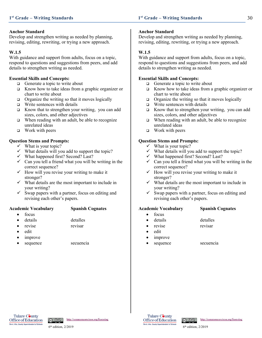30

### **Anchor Standard**

Develop and strengthen writing as needed by planning, revising, editing, rewriting, or trying a new approach.

# **W.1.5**

With guidance and support from adults, focus on a topic, respond to questions and suggestions from peers, and add details to strengthen writing as needed.

# **Essential Skills and Concepts:**

- $\Box$  Generate a topic to write about
- q Know how to take ideas from a graphic organizer or chart to write about
- $\Box$  Organize the writing so that it moves logically
- $\Box$  Write sentences with details
- □ Know that to strengthen your writing, you can add sizes, colors, and other adjectives
- $\Box$  When reading with an adult, be able to recognize unrelated ideas
- $\Box$  Work with peers

### **Question Stems and Prompts:**

- $\checkmark$  What is your topic?
- $\checkmark$  What details will you add to support the topic?
- $\checkmark$  What happened first? Second? Last?
- $\checkmark$  Can you tell a friend what you will be writing in the correct sequence?
- $\checkmark$  How will you revise your writing to make it stronger?
- $\checkmark$  What details are the most important to include in your writing?
- Swap papers with a partner, focus on editing and revising each other's papers.

#### **Academic Vocabulary Spanish Cognates**

- focus
	- details detailes
- revise revisar
- edit
- improve
- sequence secuencia

# **Anchor Standard**

Develop and strengthen writing as needed by planning, revising, editing, rewriting, or trying a new approach.

#### **W.1.5**

With guidance and support from adults, focus on a topic, respond to questions and suggestions from peers, and add details to strengthen writing as needed.

### **Essential Skills and Concepts:**

- $\Box$  Generate a topic to write about
- q Know how to take ideas from a graphic organizer or chart to write about
- $\Box$  Organize the writing so that it moves logically
- $\Box$  Write sentences with details
- □ Know that to strengthen your writing, you can add sizes, colors, and other adjectives
- $\Box$  When reading with an adult, be able to recognize unrelated ideas
- $\Box$  Work with peers

### **Question Stems and Prompts:**

- $\checkmark$  What is your topic?
- $\checkmark$  What details will you add to support the topic?
- $\checkmark$  What happened first? Second? Last?
- $\checkmark$  Can you tell a friend what you will be writing in the correct sequence?
- $\checkmark$  How will you revise your writing to make it stronger?
- $\checkmark$  What details are the most important to include in your writing?
- Swap papers with a partner, focus on editing and revising each other's papers.

- focus
- details detailes
	- revise revisar
- edit
- *improve*
- sequence secuencia





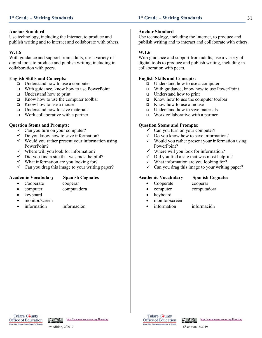Use technology, including the Internet, to produce and publish writing and to interact and collaborate with others.

# **W.1.6**

With guidance and support from adults, use a variety of digital tools to produce and publish writing, including in collaboration with peers.

# **English Skills and Concepts:**

- □ Understand how to use a computer
- q With guidance, know how to use PowerPoint
- $\Box$  Understand how to print
- q Know how to use the computer toolbar
- **q** Know how to use a mouse
- $\Box$  Understand how to save materials
- $\Box$  Work collaborative with a partner

# **Question Stems and Prompts:**

- $\checkmark$  Can you turn on your computer?
- $\checkmark$  Do you know how to save information?
- $\checkmark$  Would you rather present your information using PowerPoint?
- $\checkmark$  Where will you look for information?
- $\checkmark$  Did you find a site that was most helpful?
- $\checkmark$  What information are you looking for?
- $\checkmark$  Can you drag this image to your writing paper?

# **Academic Vocabulary Spanish Cognates**

- Cooperate cooperar
	- computer computadora
- keyboard
- monitor/screen
- information información

# **Anchor Standard**

Use technology, including the Internet, to produce and publish writing and to interact and collaborate with others.

### **W.1.6**

With guidance and support from adults, use a variety of digital tools to produce and publish writing, including in collaboration with peers.

# **English Skills and Concepts:**

- □ Understand how to use a computer
- q With guidance, know how to use PowerPoint
- $\Box$  Understand how to print
- q Know how to use the computer toolbar
- **q** Know how to use a mouse
- $\Box$  Understand how to save materials
- $\Box$  Work collaborative with a partner

# **Question Stems and Prompts:**

- $\checkmark$  Can you turn on your computer?
- $\checkmark$  Do you know how to save information?
- $\checkmark$  Would you rather present your information using PowerPoint?
- $\checkmark$  Where will you look for information?
- Did you find a site that was most helpful?
- $\checkmark$  What information are you looking for?
- $\checkmark$  Can you drag this image to your writing paper?

# **Academic Vocabulary Spanish Cognates**

- Cooperate cooperar
	- computer computadora
		-
- keyboard
- monitor/screen
	- information información

Tulare County Office of Education Tim A. Hire, County Superintendent of Schools



Tulare County Office of Education  $\frac{m}{100}$  a. Hire, County Superintendent of Schools  $\frac{1}{6}$  edition, 2/2019

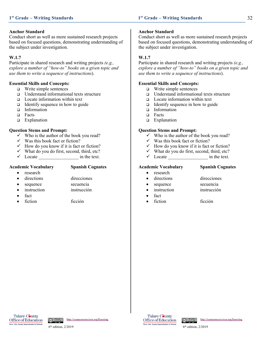Conduct short as well as more sustained research projects based on focused questions, demonstrating understanding of the subject under investigation.

# **W.1.7**

Participate in shared research and writing projects *(e.g., explore a number of "how-to" books on a given topic and use them to write a sequence of instructions*).

# **Essential Skills and Concepts:**

- $\Box$  Write simple sentences
- □ Understand informational texts structure
- q Locate information within text
- $\Box$  Identify sequence in how to guide
- q Information
- □ Facts
- **q** Explanation

# **Question Stems and Prompt:**

- $\checkmark$  Who is the author of the book you read?
- $\checkmark$  Was this book fact or fiction?
- $\checkmark$  How do you know if it is fact or fiction?
- $\checkmark$  What do you do first, second, third, etc?
- $\checkmark$  Locate in the text.

# **Academic Vocabulary Spanish Cognates**

- research • directions directiones
- sequence secuencia
- instruction instrucción
- fact
- - fiction ficción

# **Anchor Standard**

Conduct short as well as more sustained research projects based on focused questions, demonstrating understanding of the subject under investigation.

# **W.1.7**

Participate in shared research and writing projects *(e.g., explore a number of "how-to" books on a given topic and use them to write a sequence of instructions*).

### **Essential Skills and Concepts:**

- $\Box$  Write simple sentences
- □ Understand informational texts structure
- q Locate information within text
- $\Box$  Identify sequence in how to guide
- q Information
- □ Facts
- **q** Explanation

# **Question Stems and Prompt:**

- $\checkmark$  Who is the author of the book you read?
- $\checkmark$  Was this book fact or fiction?
- $\checkmark$  How do you know if it is fact or fiction?
- $\checkmark$  What do you do first, second, third, etc?
- $\checkmark$  Locate in the text.

# **Academic Vocabulary Spanish Cognates**

- research
- directions direcciones
- sequence secuencia
	- instruction instrucción
- fact
- fiction ficción

Tulare County Office of Education Tim A. Hire, County Superintendent of Schools



Tulare County Office of Education



http://commoncore.tcoe.org/licensing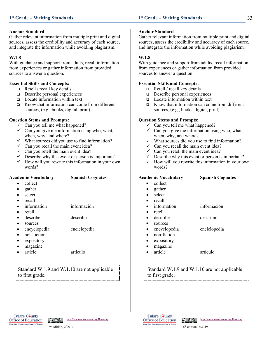Gather relevant information from multiple print and digital sources, assess the credibility and accuracy of each source, and integrate the information while avoiding plagiarism.

### **W.1.8**

With guidance and support from adults, recall information from experiences or gather information from provided sources to answer a question.

### **Essential Skills and Concepts:**

- $\Box$  Retell / recall key details
- $\Box$  Describe personal experiences
- $\Box$  Locate information within text
- $\Box$  Know that information can come from different sources, (e.g., books, digital, print)

#### **Question Stems and Prompts:**

- $\checkmark$  Can you tell me what happened?
- $\checkmark$  Can you give me information using who, what, when, why, and where?
- $\checkmark$  What sources did you use to find information?
- $\checkmark$  Can you recall the main event idea?
- $\checkmark$  Can you retell the main event idea?
- $\checkmark$  Describe why this event or person is important?
- $\checkmark$  How will you rewrite this information in your own words?

### **Academic Vocabulary Spanish Cognates**

- collect
- gather
- select
- recall
- information información
- retell
- describe describir
- sources
- encyclopedia enciclopedia
- non-fiction
- expository
- magazine
- 

# • article artículo

Standard W.1.9 and W.1.10 are not applicable to first grade.

#### **Anchor Standard**

Gather relevant information from multiple print and digital sources, assess the credibility and accuracy of each source, and integrate the information while avoiding plagiarism.

# **W.1.8**

With guidance and support from adults, recall information from experiences or gather information from provided sources to answer a question.

#### **Essential Skills and Concepts:**

- $\Box$  Retell / recall key details
- **Q** Describe personal experiences
- q Locate information within text
- $\Box$  Know that information can come from different sources, (e.g., books, digital, print)

#### **Question Stems and Prompts:**

- $\checkmark$  Can you tell me what happened?
- $\checkmark$  Can you give me information using who, what, when, why, and where?
- $\checkmark$  What sources did you use to find information?
- $\checkmark$  Can you recall the main event idea?
- $\checkmark$  Can you retell the main event idea?
- $\checkmark$  Describe why this event or person is important?
- $\checkmark$  How will you rewrite this information in your own words?

#### **Academic Vocabulary Spanish Cognates**

- collect
- gather
- select
- recall
	- information información
- retell
	- describe describir
- sources
	- encyclopedia enciclopedia
- non-fiction
- expository
- magazine
- article artículo

Standard W.1.9 and W.1.10 are not applicable to first grade.



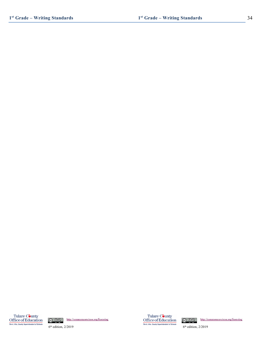



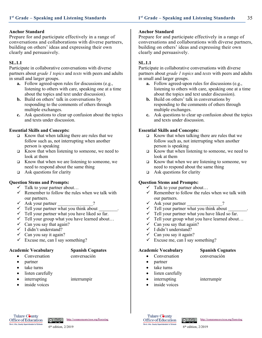Prepare for and participate effectively in a range of conversations and collaborations with diverse partners, building on others' ideas and expressing their own clearly and persuasively.

### **SL.1.1**

Participate in collaborative conversations with diverse partners about *grade 1 topics* and *texts* with peers and adults in small and larger groups.

- **a.** Follow agreed-upon rules for discussions (e.g., listening to others with care, speaking one at a time about the topics and text under discussion).
- **b.** Build on others' talk in conversations by responding to the comments of others through multiple exchanges.
- **c.** Ask questions to clear up confusion about the topics and texts under discussion.

#### **Essential Skills and Concepts:**

- $\Box$  Know that when talking there are rules that we follow such as, not interrupting when another person is speaking
- $\Box$  Know that when listening to someone, we need to look at them
- $\Box$  Know that when we are listening to someone, we need to respond about the same thing
- $\Box$  Ask questions for clarity

#### **Question Stems and Prompts:**

- $\checkmark$  Talk to your partner about...
- $\checkmark$  Remember to follow the rules when we talk with our partners.
- $\checkmark$  Ask your partner
- $\checkmark$  Tell your partner what you think about
- $\checkmark$  Tell your partner what you have liked so far.
- $\checkmark$  Tell your group what you have learned about...
- $\checkmark$  Can you say that again?
- $\checkmark$  I didn't understand?
- $\checkmark$  Can you say it again?
- $\checkmark$  Excuse me, can I say something?

#### **Academic Vocabulary Spanish Cognates**

- Conversation conversación
- partner
- take turns
- listen carefully
- interrupting interrumpir
- inside voices

#### **Anchor Standard**

Prepare for and participate effectively in a range of conversations and collaborations with diverse partners, building on others' ideas and expressing their own clearly and persuasively.

### **SL.1.1**

Participate in collaborative conversations with diverse partners about *grade 1 topics* and *texts* with peers and adults in small and larger groups.

- **a.** Follow agreed-upon rules for discussions (e.g., listening to others with care, speaking one at a time about the topics and text under discussion).
- **b.** Build on others' talk in conversations by responding to the comments of others through multiple exchanges.
- **c.** Ask questions to clear up confusion about the topics and texts under discussion.

#### **Essential Skills and Concepts:**

- □ Know that when talking there are rules that we follow such as, not interrupting when another person is speaking
- $\Box$  Know that when listening to someone, we need to look at them
- $\Box$  Know that when we are listening to someone, we need to respond about the same thing
- $\Box$  Ask questions for clarity

### **Question Stems and Prompts:**

- $\checkmark$  Talk to your partner about...
- $\checkmark$  Remember to follow the rules when we talk with our partners.
- $\checkmark$  Ask your partner
- $\checkmark$  Tell your partner what you think about
- $\checkmark$  Tell your partner what you have liked so far.
- $\checkmark$  Tell your group what you have learned about...
- $\checkmark$  Can you say that again?
- $\checkmark$  I didn't understand?
- $\checkmark$  Can you say it again?
- $\checkmark$  Excuse me, can I say something?

#### **Academic Vocabulary Spanish Cognates**

- Conversation conversación
- partner
- take turns
- listen carefully
- interrupting interrumpir
- inside voices

Tulare County Office of Education



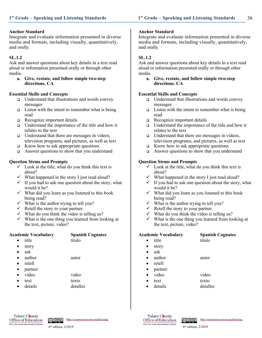Integrate and evaluate information presented in diverse media and formats, including visually, quantitatively, and orally.

### **SL.1.2**

Ask and answer questions about key details in a text read aloud or information presented orally or through other media.

**a. Give, restate, and follow simple two-step directions. CA**

#### **Essential Skills and Concepts**

- $\Box$  Understand that illustrations and words convey messages
- $\Box$  Listen with the intent to remember what is being read
- $\Box$  Recognize important details
- $\Box$  Understand the importance of the title and how it relates to the text
- $\Box$  Understand that there are messages in videos, television programs, and pictures, as well as text
- $\Box$  Know how to ask appropriate questions
- $\Box$  Answer questions to show that you understand

#### **Question Stems and Prompts**

- $\checkmark$  Look at the title, what do you think this text is about?
- $\checkmark$  What happened in the story I just read aloud?
- $\checkmark$  If you had to ask one question about the story, what would it be?
- $\checkmark$  What did you learn as you listened to this book being read?
- $\checkmark$  What is the author trying to tell you?
- $\checkmark$  Retell the story to your partner.
- $\checkmark$  What do you think the video is telling us?
- $\checkmark$  What is the one thing you learned from looking at the text, picture, video?

#### **Academic Vocabulary Spanish Cognates**

- title título
- 
- story
- ask
- author autor
- retell
- partner
- video video
- text texto
- details detailes

#### **Anchor Standard**

Integrate and evaluate information presented in diverse media and formats, including visually, quantitatively, and orally.

# **SL.1.2**

Ask and answer questions about key details in a text read aloud or information presented orally or through other media.

**a. Give, restate, and follow simple two-step directions. CA**

#### **Essential Skills and Concepts**

- $\Box$  Understand that illustrations and words convey messages
- $\Box$  Listen with the intent to remember what is being read
- $\Box$  Recognize important details
- Understand the importance of the title and how it relates to the text
- $\Box$  Understand that there are messages in videos, television programs, and pictures, as well as text
- $\Box$  Know how to ask appropriate questions
- $\Box$  Answer questions to show that you understand

### **Question Stems and Prompts**

- $\checkmark$  Look at the title, what do you think this text is about?
- $\checkmark$  What happened in the story I just read aloud?
- $\checkmark$  If you had to ask one question about the story, what would it be?
- $\checkmark$  What did you learn as you listened to this book being read?
- $\checkmark$  What is the author trying to tell you?
- $\checkmark$  Retell the story to your partner.
- $\checkmark$  What do you think the video is telling us?
- $\checkmark$  What is the one thing you learned from looking at the text, picture, video?

# **Academic Vocabulary Spanish Cognates**

- title título
- story
- ask
- author autor
- retell
- partner

Tulare County

Office of Education

- video video
- text texto
- details detailes



http://commoncore.tcoe.org/licensing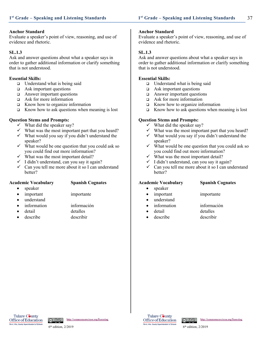Evaluate a speaker's point of view, reasoning, and use of evidence and rhetoric.

#### **SL.1.3**

Ask and answer questions about what a speaker says in order to gather additional information or clarify something that is not understood.

#### **Essential Skills:**

- $\Box$  Understand what is being said
- $\Box$  Ask important questions
- $\Box$  Answer important questions
- q Ask for more information
- $\Box$  Know how to organize information
- $\Box$  Know how to ask questions when meaning is lost

#### **Question Stems and Prompts:**

- $\checkmark$  What did the speaker say?
- $\checkmark$  What was the most important part that you heard?
- $\checkmark$  What would you say if you didn't understand the speaker?
- $\checkmark$  What would be one question that you could ask so you could find out more information?
- $\checkmark$  What was the most important detail?
- $\checkmark$  I didn't understand, can you say it again?
- $\checkmark$  Can you tell me more about it so I can understand better?

#### **Academic Vocabulary Spanish Cognates**

#### • speaker

- important importante
- understand
- information información
	- detail detailes
- describe describir

#### **Anchor Standard**

Evaluate a speaker's point of view, reasoning, and use of evidence and rhetoric.

#### **SL.1.3**

Ask and answer questions about what a speaker says in order to gather additional information or clarify something that is not understood.

#### **Essential Skills:**

- $\Box$  Understand what is being said
- $\Box$  Ask important questions
- **Q** Answer important questions
- q Ask for more information
- $\Box$  Know how to organize information
- $\Box$  Know how to ask questions when meaning is lost

#### **Question Stems and Prompts:**

- $\checkmark$  What did the speaker say?
- $\checkmark$  What was the most important part that you heard?
- $\checkmark$  What would you say if you didn't understand the speaker?
- $\checkmark$  What would be one question that you could ask so you could find out more information?
- $\checkmark$  What was the most important detail?
- $\checkmark$  I didn't understand, can you say it again?
- $\checkmark$  Can you tell me more about it so I can understand better?

#### **Academic Vocabulary Spanish Cognates**

- speaker
- important importante
- understand
- information información
- detail detailes
	- describe describir

Tulare County Office of Education Tim A. Hire, County Superintendent of Schools



http://commoncore.tcoe.org/licensing

Office of Education  $\frac{m}{100}$  a. Hire, County Superintendent of Schools  $\frac{1}{6}$  edition, 2/2019

Tulare County

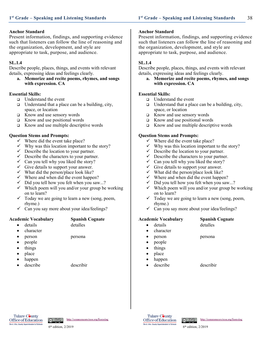Present information, findings, and supporting evidence such that listeners can follow the line of reasoning and the organization, development, and style are appropriate to task, purpose, and audience.

### **SL.1.4**

Describe people, places, things, and events with relevant details, expressing ideas and feelings clearly.

**a. Memorize and recite poems, rhymes, and songs with expression. CA**

#### **Essential Skills:**

- □ Understand the event
- $\Box$  Understand that a place can be a building, city, space, or location
- $\Box$  Know and use sensory words
- $\Box$  Know and use positional words
- $\Box$  Know and use multiple descriptive words

#### **Question Stems and Prompts:**

- $\checkmark$  Where did the event take place?
- $\checkmark$  Why was this location important to the story?
- $\checkmark$  Describe the location to your partner.
- $\checkmark$  Describe the characters to your partner.
- $\checkmark$  Can you tell why you liked the story?
- $\checkmark$  Give details to support your answer.
- $\checkmark$  What did the person/place look like?
- $\checkmark$  Where and when did the event happen?
- $\checkmark$  Did you tell how you felt when you saw...?
- $\checkmark$  Which poem will you and/or your group be working on to learn?
- $\checkmark$  Today we are going to learn a new (song, poem, rhyme.)
- $\checkmark$  Can you say more about your idea/feelings?

# **Academic Vocabulary Spanish Cognate** details detailes • character

- person persona
- people
- things • place
- happen
- describe describir

#### **Anchor Standard**

Present information, findings, and supporting evidence such that listeners can follow the line of reasoning and the organization, development, and style are appropriate to task, purpose, and audience.

### **SL.1.4**

Describe people, places, things, and events with relevant details, expressing ideas and feelings clearly.

**a. Memorize and recite poems, rhymes, and songs with expression. CA**

#### **Essential Skills:**

- $\Box$  Understand the event
- $\Box$  Understand that a place can be a building, city, space, or location
- $\Box$  Know and use sensory words
- $\Box$  Know and use positional words
- $\Box$  Know and use multiple descriptive words

#### **Question Stems and Prompts:**

- $\checkmark$  Where did the event take place?
- $\checkmark$  Why was this location important to the story?
- $\checkmark$  Describe the location to your partner.
- $\checkmark$  Describe the characters to your partner.
- $\checkmark$  Can you tell why you liked the story?
- $\checkmark$  Give details to support your answer.
- $\checkmark$  What did the person/place look like?
- $\checkmark$  Where and when did the event happen?
- $\checkmark$  Did you tell how you felt when you saw...?
- $\checkmark$  Which poem will you and/or your group be working on to learn?
- $\checkmark$  Today we are going to learn a new (song, poem, rhyme.)
- $\checkmark$  Can you say more about your idea/feelings?

- details detailes
- character
	- person persona
- people
- things
- place
- happen
- describe describir

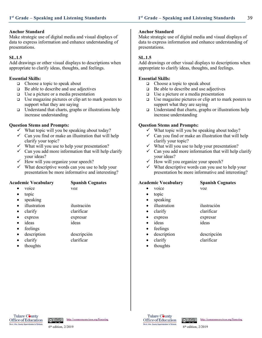Make strategic use of digital media and visual displays of data to express information and enhance understanding of presentations.

### **SL.1.5**

Add drawings or other visual displays to descriptions when appropriate to clarify ideas, thoughts, and feelings.

#### **Essential Skills:**

- $\Box$  Choose a topic to speak about
- $\Box$  Be able to describe and use adjectives
- $\Box$  Use a picture or a media presentation
- $\Box$  Use magazine pictures or clip art to mark posters to support what they are saying
- $\Box$  Understand that charts, graphs or illustrations help increase understanding

#### **Question Stems and Prompts:**

- $\checkmark$  What topic will you be speaking about today?
- $\checkmark$  Can you find or make an illustration that will help clarify your topic?
- $\checkmark$  What will you use to help your presentation?
- $\checkmark$  Can you add more information that will help clarify your ideas?
- $\checkmark$  How will you organize your speech?
- $\checkmark$  What descriptive words can you use to help your presentation be more informative and interesting?

#### **Academic Vocabulary Spanish Cognates**

- voice voz
- topic
- speaking
- illustration ilustración
- clarify clarificar
- express expresar
- ideas ideas
- feelings
- 
- description descripción
- clarify clarificar
- thoughts

### **Anchor Standard**

Make strategic use of digital media and visual displays of data to express information and enhance understanding of presentations.

### **SL.1.5**

Add drawings or other visual displays to descriptions when appropriate to clarify ideas, thoughts, and feelings.

#### **Essential Skills:**

- $\Box$  Choose a topic to speak about
- $\Box$  Be able to describe and use adjectives
- □ Use a picture or a media presentation
- $\Box$  Use magazine pictures or clip art to mark posters to support what they are saying
- □ Understand that charts, graphs or illustrations help increase understanding

#### **Question Stems and Prompts:**

- $\checkmark$  What topic will you be speaking about today?
- $\checkmark$  Can you find or make an illustration that will help clarify your topic?
- $\checkmark$  What will you use to help your presentation?
- $\checkmark$  Can you add more information that will help clarify your ideas?
- $\checkmark$  How will you organize your speech?
- $\checkmark$  What descriptive words can you use to help your presentation be more informative and interesting?

- voice voz
- topic • speaking
- illustration ilustración
- clarify clarificar
- express expresar
- ideas ideas
- feelings
- description descripción
- clarify clarificar
- thoughts





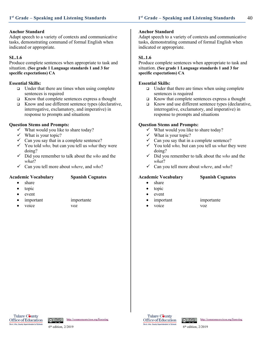Adapt speech to a variety of contexts and communicative tasks, demonstrating command of formal English when indicated or appropriate.

#### **SL.1.6**

Produce complete sentences when appropriate to task and situation. **(See grade 1 Language standards 1 and 3 for specific expectations) CA**

#### **Essential Skills:**

- $\Box$  Under that there are times when using complete sentences is required
- $\Box$  Know that complete sentences express a thought
- $\Box$  Know and use different sentence types (declarative, interrogative, exclamatory, and imperative) in response to prompts and situations

#### **Question Stems and Prompts:**

- $\checkmark$  What would you like to share today?
- $\checkmark$  What is your topic?
- $\checkmark$  Can you say that in a complete sentence?
- $\checkmark$  You told *who*, but can you tell us *what* they were doing?
- $\checkmark$  Did you remember to talk about the *who* and the *what*?
- ü Can you tell more about *where*, and *who*?

#### **Academic Vocabulary Spanish Cognates**

- share
- topic
- event
	- important importante
- voice voz

#### **Anchor Standard**

Adapt speech to a variety of contexts and communicative tasks, demonstrating command of formal English when indicated or appropriate.

#### **SL.1.6**

Produce complete sentences when appropriate to task and situation. **(See grade 1 Language standards 1 and 3 for specific expectations) CA**

#### **Essential Skills:**

- $\Box$  Under that there are times when using complete sentences is required
- $\Box$  Know that complete sentences express a thought
- $\Box$  Know and use different sentence types (declarative, interrogative, exclamatory, and imperative) in response to prompts and situations

#### **Question Stems and Prompts:**

- $\checkmark$  What would you like to share today?
- $\checkmark$  What is your topic?
- $\checkmark$  Can you say that in a complete sentence?
- $\checkmark$  You told *who*, but can you tell us *what* they were doing?
- $\checkmark$  Did you remember to talk about the *who* and the *what*?
- ü Can you tell more about *where*, and *who*?

#### **Academic Vocabulary Spanish Cognates**

- share
- topic
- event
- - important importante
		- voice voz

Tulare County Office of Education Tim A. Hire, County Superintendent of Schools





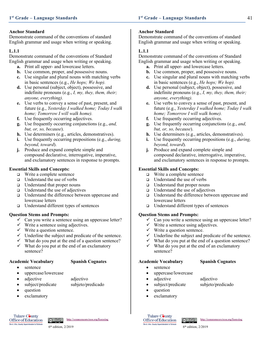Demonstrate command of the conventions of standard English grammar and usage when writing or speaking.

#### **L.1.1**

Demonstrate command of the conventions of Standard English grammar and usage when writing or speaking.

- **a.** Print all upper- and lowercase letters.
- **b.** Use common, proper, and possessive nouns.
- **c.** Use singular and plural nouns with matching verbs in basic sentences (e.g., *He hops; We hop).*
- **d.** Use personal (subject, object), possessive, and indefinite pronouns (e.g., *I, my, they, them, their; anyone, everything).*
- **e.** Use verbs to convey a sense of past, present, and future (e.g., *Yesterday I walked home; Today I walk home; Tomorrow I will walk home).*
- **f.** Use frequently occurring adjectives.
- **g.** Use frequently occurring conjunctions (e.g., *and, but, or, so, because*).
- **h.** Use determiners (e.g., articles, demonstratives).
- **i.** Use frequently occurring prepositions (e.g., *during, beyond, toward*).
- **j.** Produce and expand complete simple and compound declarative, interrogative, imperative, and exclamatory sentences in response to prompts.

#### **Essential Skills and Concepts:**

- $\Box$  Write a complete sentence
- □ Understand the use of verbs
- $\Box$  Understand that proper nouns
- $\Box$  Understand the use of adjectives
- □ Understand the difference between uppercase and lowercase letters
- □ Understand different types of sentences

### **Question Stems and Prompts:**

- $\checkmark$  Can you write a sentence using an uppercase letter?
- $\checkmark$  Write a sentence using adjectives.
- $\checkmark$  Write a question sentence.
- $\checkmark$  Underline the subject and predicate of the sentence.
- $\checkmark$  What do you put at the end of a question sentence?
- $\checkmark$  What do you put at the end of an exclamatory sentence?

### **Academic Vocabulary Spanish Cognates**

http://commoncore.tcoe.org/licensing

- sentence
- uppercase/lowercase
	- adjective adjective
- subject/predicate subjeto/predicado
- question
- exclamatory

# **Anchor Standard**

Demonstrate command of the conventions of standard English grammar and usage when writing or speaking.

#### **L.1.1**

Demonstrate command of the conventions of Standard English grammar and usage when writing or speaking.

- **a.** Print all upper- and lowercase letters.
- **b.** Use common, proper, and possessive nouns.
- **c.** Use singular and plural nouns with matching verbs in basic sentences (e.g., *He hops; We hop).*
- **d.** Use personal (subject, object), possessive, and indefinite pronouns (e.g., *I, my, they, them, their; anyone, everything).*
- **e.** Use verbs to convey a sense of past, present, and future (e.g., *Yesterday I walked home; Today I walk home; Tomorrow I will walk home).*
- **f.** Use frequently occurring adjectives.
- **g.** Use frequently occurring conjunctions (e.g., *and, but, or, so, because*).
- **h.** Use determiners (e.g., articles, demonstratives).
- **i.** Use frequently occurring prepositions (e.g., *during, beyond, toward*).
- **j.** Produce and expand complete simple and compound declarative, interrogative, imperative, and exclamatory sentences in response to prompts.

### **Essential Skills and Concepts:**

- $\Box$  Write a complete sentence
- q Understand the use of verbs
- □ Understand that proper nouns
- $\Box$  Understand the use of adjectives
- □ Understand the difference between uppercase and lowercase letters
- $\Box$  Understand different types of sentences

### **Question Stems and Prompts:**

- $\checkmark$  Can you write a sentence using an uppercase letter?
- $\checkmark$  Write a sentence using adjectives.
- $\checkmark$  Write a question sentence.
- $\checkmark$  Underline the subject and predicate of the sentence.
- $\checkmark$  What do you put at the end of a question sentence?
- $\checkmark$  What do you put at the end of an exclamatory sentence?

### **Academic Vocabulary Spanish Cognates**

- sentence
- uppercase/lowercase
- 
- 
- question
- exclamatory

Tulare County

Office of Education

- 
- adjective adjective
- subject/predicate subjeto/predicado



 $\circledcirc$   $\circledcirc$ 

Tulare County Office of Education Tim A. Hire, County Superintendent of Schools

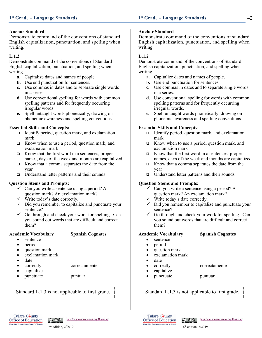Demonstrate command of the conventions of standard English capitalization, punctuation, and spelling when writing.

# **L.1.2**

Demonstrate command of the conventions of Standard English capitalization, punctuation, and spelling when writing.

- **a.** Capitalize dates and names of people.
- **b.** Use end punctuation for sentences.
- **c.** Use commas in dates and to separate single words in a series.
- **d.** Use conventional spelling for words with common spelling patterns and for frequently occurring irregular words.
- **e.** Spell untaught words phonetically, drawing on phonemic awareness and spelling conventions.

### **Essential Skills and Concepts:**

- □ Identify period, question mark, and exclamation mark
- $\Box$  Know when to use a period, question mark, and exclamation mark
- $\Box$  Know that the first word in a sentences, proper names, days of the week and months are capitalized
- $\Box$  Know that a comma separates the date from the year
- $\Box$  Understand letter patterns and their sounds

#### **Question Stems and Prompts:**

- $\checkmark$  Can you write a sentence using a period? A question mark? An exclamation mark?
- $\checkmark$  Write today's date correctly.
- $\checkmark$  Did you remember to capitalize and punctuate your sentence?
- $\checkmark$  Go through and check your work for spelling. Can you sound out words that are difficult and correct them?

#### **Academic Vocabulary Spanish Cognates**

- sentence
- period
- question mark
- exclamation mark
- date
- correctly correctamente
- capitalize
- punctuate puntuar

Standard L.1.3 is not applicable to first grade. Standard L.1.3 is not applicable to first grade. 

Tulare County Office of Education



#### **Anchor Standard**

Demonstrate command of the conventions of standard English capitalization, punctuation, and spelling when writing.

### **L.1.2**

Demonstrate command of the conventions of Standard English capitalization, punctuation, and spelling when writing.

- **a.** Capitalize dates and names of people.
- **b.** Use end punctuation for sentences.
- **c.** Use commas in dates and to separate single words in a series.
- **d.** Use conventional spelling for words with common spelling patterns and for frequently occurring irregular words.
- **e.** Spell untaught words phonetically, drawing on phonemic awareness and spelling conventions.

#### **Essential Skills and Concepts:**

- □ Identify period, question mark, and exclamation mark
- $\Box$  Know when to use a period, question mark, and exclamation mark
- $\Box$  Know that the first word in a sentences, proper names, days of the week and months are capitalized
- $\Box$  Know that a comma separates the date from the year
- $\Box$  Understand letter patterns and their sounds

### **Question Stems and Prompts:**

- $\checkmark$  Can you write a sentence using a period? A question mark? An exclamation mark?
- $\checkmark$  Write today's date correctly.
- $\checkmark$  Did you remember to capitalize and punctuate your sentence?
- $\checkmark$  Go through and check your work for spelling. Can you sound out words that are difficult and correct them?

#### **Academic Vocabulary Spanish Cognates**

- 
- sentence
- period
- question mark
- exclamation mark
- date
	- correctly correctamente
- capitalize

Tulare County

Office of Education

• punctuate puntuar

 $\circledcirc$ 

http://commoncore.tcoe.org/licensing

 $\frac{m}{100}$  a. Hire, County Superintendent of Schools  $\frac{1}{6}$  edition, 2/2019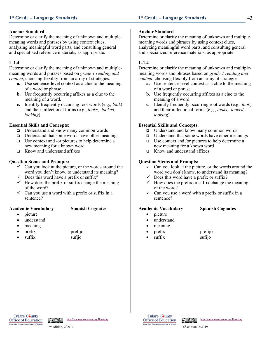Determine or clarify the meaning of unknown and multiplemeaning words and phrases by using context clues, analyzing meaningful word parts, and consulting general and specialized reference materials, as appropriate.

# **L.1.4**

Determine or clarify the meaning of unknown and multiplemeaning words and phrases based on *grade 1 reading and content*, choosing flexibly from an array of strategies.

- **a.** Use sentence-level context as a clue to the meaning of a word or phrase.
- **b.** Use frequently occurring affixes as a clue to the meaning of a word.
- **c.** Identify frequently occurring root words (e.g., *look*) and their inflectional forms (e.g., *looks*, *looked*, *looking*).

#### **Essential Skills and Concepts:**

- □ Understand and know many common words
- $\Box$  Understand that some words have other meanings
- $\Box$  Use context and /or pictures to help determine a new meaning for a known word
- $\Box$  Know and understand affixes

#### **Question Stems and Prompts:**

- $\checkmark$  Can you look at the picture, or the words around the word you don't know, to understand its meaning?
- $\checkmark$  Does this word have a prefix or suffix?
- $\checkmark$  How does the prefix or suffix change the meaning of the word?
- $\checkmark$  Can you use a word with a prefix or suffix in a sentence?

#### **Academic Vocabulary Spanish Cognates**

- picture
- understand
- meaning
- prefix prefijo
- suffix sufijo

# **Anchor Standard**

Determine or clarify the meaning of unknown and multiplemeaning words and phrases by using context clues, analyzing meaningful word parts, and consulting general and specialized reference materials, as appropriate.

# **L.1.4**

Determine or clarify the meaning of unknown and multiplemeaning words and phrases based on *grade 1 reading and content*, choosing flexibly from an array of strategies.

- **a.** Use sentence-level context as a clue to the meaning of a word or phrase.
- **b.** Use frequently occurring affixes as a clue to the meaning of a word.
- **c.** Identify frequently occurring root words (e.g., *look*) and their inflectional forms (e.g., *looks*, *looked*, *looking*).

#### **Essential Skills and Concepts:**

- □ Understand and know many common words
- $\Box$  Understand that some words have other meanings
- $\Box$  Use context and /or pictures to help determine a new meaning for a known word
- $\Box$  Know and understand affixes

### **Question Stems and Prompts:**

- $\checkmark$  Can you look at the picture, or the words around the word you don't know, to understand its meaning?
- $\checkmark$  Does this word have a prefix or suffix?
- $\checkmark$  How does the prefix or suffix change the meaning of the word?
- $\checkmark$  Can you use a word with a prefix or suffix in a sentence?

- picture
- understand
- meaning
	- prefix prefijo
	- suffix sufijo



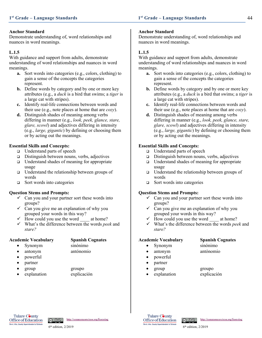Demonstrate understanding of, word relationships and nuances in word meanings.

# **L.1.5**

With guidance and support from adults, demonstrate understanding of word relationships and nuances in word meanings.

- **a.** Sort words into categories (e.g., colors, clothing) to gain a sense of the concepts the categories represent.
- **b.** Define words by category and by one or more key attributes (e.g., a *duck* is a bird that swims; a *tiger* is a large cat with stripes).
- **c.** Identify real-life connections between words and their use (e.g., note places at home that are *cozy*).
- **d.** Distinguish shades of meaning among verbs differing in manner (e.g., *look, peek, glance, stare, glare, scowl*) and adjectives differing in intensity (e.g., *large, gigantic*) by defining or choosing them or by acting out the meanings.

# **Essential Skills and Concepts:**

- □ Understand parts of speech
- $\Box$  Distinguish between nouns, verbs, adjectives
- □ Understand shades of meaning for appropriate usage
- $\Box$  Understand the relationship between groups of words
- $\Box$  Sort words into categories

# **Question Stems and Prompts:**

- $\checkmark$  Can you and your partner sort these words into groups?
- $\checkmark$  Can you give me an explanation of why you grouped your words in this way?
- $\checkmark$  How could you use the word at home?
- $\checkmark$  What's the difference between the words *peek* and *stare?*

# **Academic Vocabulary Spanish Cognates**

| $\alpha$ and $\alpha$ $\beta$<br>$v_{\rm{p}}$ $v_{\rm{m}}$ |  |
|------------------------------------------------------------|--|
| Synonym<br>sinonimo                                        |  |

- antonym antónomio
- powerful
- partner
- group groupo
- explanation explicación

# **Anchor Standard**

Demonstrate understanding of, word relationships and nuances in word meanings.

# **L.1.5**

With guidance and support from adults, demonstrate understanding of word relationships and nuances in word meanings.

- **a.** Sort words into categories (e.g., colors, clothing) to gain a sense of the concepts the categories represent.
- **b.** Define words by category and by one or more key attributes (e.g., a *duck* is a bird that swims; a *tiger* is a large cat with stripes).
- **c.** Identify real-life connections between words and their use (e.g., note places at home that are *cozy*).
- **d.** Distinguish shades of meaning among verbs differing in manner (e.g., *look, peek, glance, stare, glare, scowl*) and adjectives differing in intensity (e.g., *large, gigantic*) by defining or choosing them or by acting out the meanings.

# **Essential Skills and Concepts:**

- □ Understand parts of speech
- $\Box$  Distinguish between nouns, verbs, adjectives
- $\Box$  Understand shades of meaning for appropriate usage
- $\Box$  Understand the relationship between groups of words
- $\Box$  Sort words into categories

# **Question Stems and Prompts:**

- $\checkmark$  Can you and your partner sort these words into groups?
- $\checkmark$  Can you give me an explanation of why you grouped your words in this way?
- $\checkmark$  How could you use the word  $\checkmark$  at home?
- $\checkmark$  What's the difference between the words *peek* and *stare?*

- 
- Synonym sinónimo
- antonym antónomio
- powerful
- partner
- group groupo
	- explanation explicación



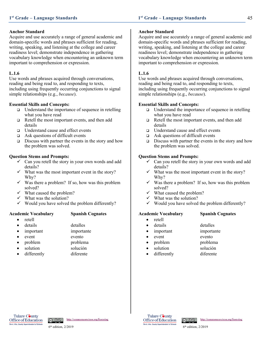#### **1st Grade – Language Standards 1st Grade – Language Standards**

#### **Anchor Standard**

Acquire and use accurately a range of general academic and domain-specific words and phrases sufficient for reading, writing, speaking, and listening at the college and career readiness level; demonstrate independence in gathering vocabulary knowledge when encountering an unknown term important to comprehension or expression.

#### **L.1.6**

Use words and phrases acquired through conversations, reading and being read to, and responding to texts, including using frequently occurring conjunctions to signal simple relationships (e.g., *because*).

#### **Essential Skills and Concepts:**

- $\Box$  Understand the importance of sequence in retelling what you have read
- $\Box$  Retell the most important events, and then add details
- □ Understand cause and effect events
- $\Box$  Ask questions of difficult events
- $\Box$  Discuss with partner the events in the story and how the problem was solved.

#### **Question Stems and Prompts:**

- $\checkmark$  Can you retell the story in your own words and add details?
- $\checkmark$  What was the most important event in the story? Why?
- $\checkmark$  Was there a problem? If so, how was this problem solved?
- $\checkmark$  What caused the problem?
- $\checkmark$  What was the solution?
- $\checkmark$  Would you have solved the problem differently?

#### **Academic Vocabulary Spanish Cognates**

- retell
- details detailes
- important importante • event evento
- 
- problem problema
- solution solución
	- differently diferente

#### **Anchor Standard**

Acquire and use accurately a range of general academic and domain-specific words and phrases sufficient for reading, writing, speaking, and listening at the college and career readiness level; demonstrate independence in gathering vocabulary knowledge when encountering an unknown term important to comprehension or expression.

### **L.1.6**

Use words and phrases acquired through conversations, reading and being read to, and responding to texts, including using frequently occurring conjunctions to signal simple relationships (e.g., *because*).

# **Essential Skills and Concepts:**

- $\Box$  Understand the importance of sequence in retelling what you have read
- $\Box$  Retell the most important events, and then add details
- □ Understand cause and effect events
- $\Box$  Ask questions of difficult events
- $\Box$  Discuss with partner the events in the story and how the problem was solved.

#### **Question Stems and Prompts:**

- $\checkmark$  Can you retell the story in your own words and add details?
- $\checkmark$  What was the most important event in the story? Why?
- $\checkmark$  Was there a problem? If so, how was this problem solved?
- $\checkmark$  What caused the problem?
- $\checkmark$  What was the solution?
- $\checkmark$  Would you have solved the problem differently?

- retell
	- details detailes
- important importante
- event evento
- problem problema
	- solution solución
		- differently diferente





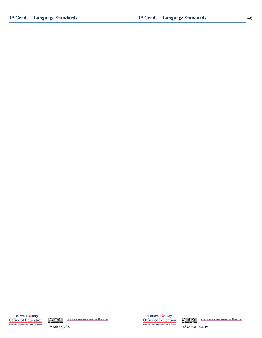